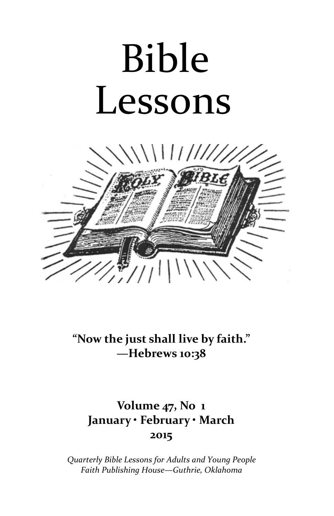# Bible Lessons



"Now the just shall live by faith." —Hebrews 10:38

# Volume 47, No 1 January • February • March 2015

Quarterly Bible Lessons for Adults and Young People Faith Publishing House—Guthrie, Oklahoma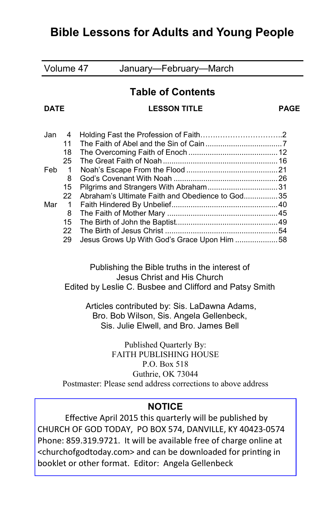## Bible Lessons for Adults and Young People

| Volume 47<br>January-February-March                     |                                        |                                                 |             |  |
|---------------------------------------------------------|----------------------------------------|-------------------------------------------------|-------------|--|
| <b>Table of Contents</b>                                |                                        |                                                 |             |  |
| <b>DATE</b>                                             |                                        | <b>LESSON TITLE</b>                             | <b>PAGE</b> |  |
|                                                         |                                        |                                                 |             |  |
| Jan                                                     | 4                                      |                                                 |             |  |
|                                                         | 11                                     |                                                 |             |  |
|                                                         | 18                                     |                                                 |             |  |
|                                                         | 25                                     |                                                 |             |  |
| Feb                                                     | 1                                      |                                                 |             |  |
|                                                         | 8                                      |                                                 |             |  |
|                                                         | 15                                     |                                                 |             |  |
|                                                         | 22                                     | Abraham's Ultimate Faith and Obedience to God35 |             |  |
| Mar                                                     | $\mathbf 1$                            |                                                 |             |  |
|                                                         | 8                                      |                                                 |             |  |
|                                                         | 15                                     |                                                 |             |  |
|                                                         | 22 <sub>2</sub>                        |                                                 |             |  |
|                                                         | 29                                     | Jesus Grows Up With God's Grace Upon Him 58     |             |  |
|                                                         |                                        |                                                 |             |  |
| Publishing the Bible truths in the interest of          |                                        |                                                 |             |  |
| Jesus Christ and His Church                             |                                        |                                                 |             |  |
| Edited by Leslie C. Busbee and Clifford and Patsy Smith |                                        |                                                 |             |  |
|                                                         |                                        |                                                 |             |  |
| Articles contributed by: Sis. LaDawna Adams,            |                                        |                                                 |             |  |
| Bro. Bob Wilson, Sis. Angela Gellenbeck,                |                                        |                                                 |             |  |
|                                                         | Sis. Julie Elwell, and Bro. James Bell |                                                 |             |  |

Published Quarterly By: FAITH PUBLISHING HOUSE P.O. Box 518 Guthrie, OK 73044 Postmaster: Please send address corrections to above address

#### **NOTICE**

Effective April 2015 this quarterly will be published by CHURCH OF GOD TODAY, PO BOX 574, DANVILLE, KY 40423-0574 Phone: 859.319.9721. It will be available free of charge online at <churchofgodtoday.com> and can be downloaded for printing in booklet or other format. Editor: Angela Gellenbeck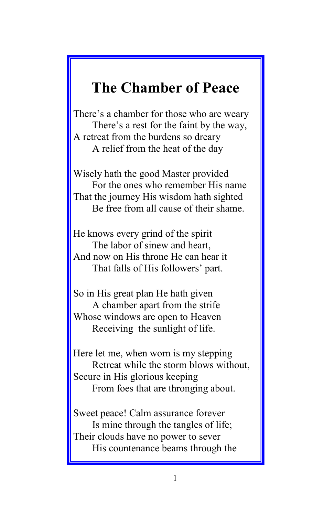# The Chamber of Peace

There's a chamber for those who are weary There's a rest for the faint by the way, A retreat from the burdens so dreary A relief from the heat of the day

Wisely hath the good Master provided For the ones who remember His name That the journey His wisdom hath sighted Be free from all cause of their shame.

He knows every grind of the spirit The labor of sinew and heart, And now on His throne He can hear it That falls of His followers' part.

So in His great plan He hath given A chamber apart from the strife Whose windows are open to Heaven Receiving the sunlight of life.

Here let me, when worn is my stepping Retreat while the storm blows without, Secure in His glorious keeping From foes that are thronging about.

Sweet peace! Calm assurance forever Is mine through the tangles of life; Their clouds have no power to sever His countenance beams through the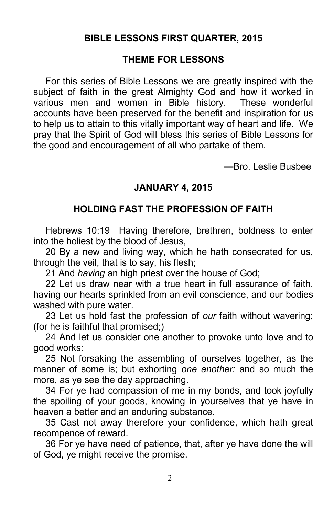#### BIBLE LESSONS FIRST QUARTER, 2015

#### THEME FOR LESSONS

For this series of Bible Lessons we are greatly inspired with the subject of faith in the great Almighty God and how it worked in various men and women in Bible history. These wonderful accounts have been preserved for the benefit and inspiration for us to help us to attain to this vitally important way of heart and life. We pray that the Spirit of God will bless this series of Bible Lessons for the good and encouragement of all who partake of them.

—Bro. Leslie Busbee

#### JANUARY 4, 2015

#### HOLDING FAST THE PROFESSION OF FAITH

Hebrews 10:19 Having therefore, brethren, boldness to enter into the holiest by the blood of Jesus,

20 By a new and living way, which he hath consecrated for us, through the veil, that is to say, his flesh;

21 And having an high priest over the house of God;

22 Let us draw near with a true heart in full assurance of faith, having our hearts sprinkled from an evil conscience, and our bodies washed with pure water.

23 Let us hold fast the profession of our faith without wavering; (for he is faithful that promised;)

24 And let us consider one another to provoke unto love and to good works:

25 Not forsaking the assembling of ourselves together, as the manner of some is; but exhorting one another: and so much the more, as ye see the day approaching.

34 For ye had compassion of me in my bonds, and took joyfully the spoiling of your goods, knowing in yourselves that ye have in heaven a better and an enduring substance.

35 Cast not away therefore your confidence, which hath great recompence of reward.

36 For ye have need of patience, that, after ye have done the will of God, ye might receive the promise.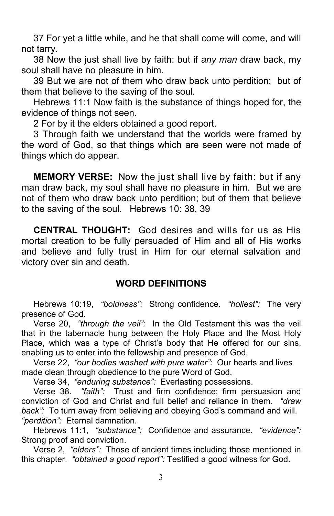37 For yet a little while, and he that shall come will come, and will not tarry.

38 Now the just shall live by faith: but if any man draw back, my soul shall have no pleasure in him.

39 But we are not of them who draw back unto perdition; but of them that believe to the saving of the soul.

Hebrews 11:1 Now faith is the substance of things hoped for, the evidence of things not seen.

2 For by it the elders obtained a good report.

3 Through faith we understand that the worlds were framed by the word of God, so that things which are seen were not made of things which do appear.

MEMORY VERSE: Now the just shall live by faith: but if any man draw back, my soul shall have no pleasure in him. But we are not of them who draw back unto perdition; but of them that believe to the saving of the soul. Hebrews 10: 38, 39

CENTRAL THOUGHT: God desires and wills for us as His mortal creation to be fully persuaded of Him and all of His works and believe and fully trust in Him for our eternal salvation and victory over sin and death.

#### WORD DEFINITIONS

Hebrews 10:19, "boldness": Strong confidence. "holiest": The very presence of God.

Verse 20, "through the veil": In the Old Testament this was the veil that in the tabernacle hung between the Holy Place and the Most Holy Place, which was a type of Christ's body that He offered for our sins, enabling us to enter into the fellowship and presence of God.

Verse 22, "our bodies washed with pure water": Our hearts and lives made clean through obedience to the pure Word of God.

Verse 34, "enduring substance": Everlasting possessions.

Verse 38. "faith": Trust and firm confidence; firm persuasion and conviction of God and Christ and full belief and reliance in them. "draw back": To turn away from believing and obeying God's command and will. "perdition": Eternal damnation.

Hebrews 11:1, "substance": Confidence and assurance. "evidence": Strong proof and conviction.

Verse 2, "elders": Those of ancient times including those mentioned in this chapter. "obtained a good report": Testified a good witness for God.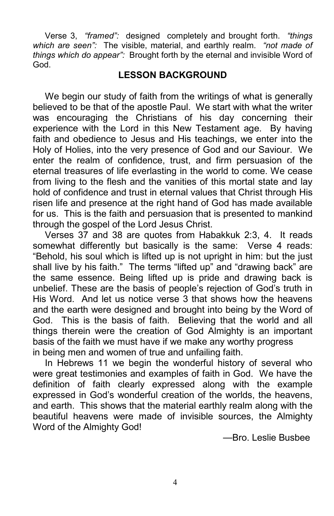Verse 3, "framed": designed completely and brought forth. "things which are seen": The visible, material, and earthly realm. "not made of things which do appear": Brought forth by the eternal and invisible Word of God.

#### LESSON BACKGROUND

We begin our study of faith from the writings of what is generally believed to be that of the apostle Paul. We start with what the writer was encouraging the Christians of his day concerning their experience with the Lord in this New Testament age. By having faith and obedience to Jesus and His teachings, we enter into the Holy of Holies, into the very presence of God and our Saviour. We enter the realm of confidence, trust, and firm persuasion of the eternal treasures of life everlasting in the world to come. We cease from living to the flesh and the vanities of this mortal state and lay hold of confidence and trust in eternal values that Christ through His risen life and presence at the right hand of God has made available for us. This is the faith and persuasion that is presented to mankind through the gospel of the Lord Jesus Christ.

Verses 37 and 38 are quotes from Habakkuk 2:3, 4. It reads somewhat differently but basically is the same: Verse 4 reads: "Behold, his soul which is lifted up is not upright in him: but the just shall live by his faith." The terms "lifted up" and "drawing back" are the same essence. Being lifted up is pride and drawing back is unbelief. These are the basis of people's rejection of God's truth in His Word. And let us notice verse 3 that shows how the heavens and the earth were designed and brought into being by the Word of God. This is the basis of faith. Believing that the world and all things therein were the creation of God Almighty is an important basis of the faith we must have if we make any worthy progress in being men and women of true and unfailing faith.

In Hebrews 11 we begin the wonderful history of several who were great testimonies and examples of faith in God. We have the definition of faith clearly expressed along with the example expressed in God's wonderful creation of the worlds, the heavens, and earth. This shows that the material earthly realm along with the beautiful heavens were made of invisible sources, the Almighty Word of the Almighty God!

—Bro. Leslie Busbee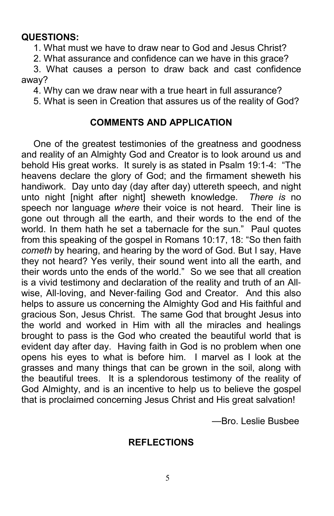#### QUESTIONS:

1. What must we have to draw near to God and Jesus Christ?

2. What assurance and confidence can we have in this grace?

3. What causes a person to draw back and cast confidence away?

4. Why can we draw near with a true heart in full assurance?

5. What is seen in Creation that assures us of the reality of God?

#### COMMENTS AND APPLICATION

One of the greatest testimonies of the greatness and goodness and reality of an Almighty God and Creator is to look around us and behold His great works. It surely is as stated in Psalm 19:1-4: "The heavens declare the glory of God; and the firmament sheweth his handiwork. Day unto day (day after day) uttereth speech, and night unto night [night after night] sheweth knowledge. There is no speech nor language where their voice is not heard. Their line is gone out through all the earth, and their words to the end of the world. In them hath he set a tabernacle for the sun." Paul quotes from this speaking of the gospel in Romans 10:17, 18: "So then faith cometh by hearing, and hearing by the word of God. But I say, Have they not heard? Yes verily, their sound went into all the earth, and their words unto the ends of the world." So we see that all creation is a vivid testimony and declaration of the reality and truth of an Allwise, All-loving, and Never-failing God and Creator. And this also helps to assure us concerning the Almighty God and His faithful and gracious Son, Jesus Christ. The same God that brought Jesus into the world and worked in Him with all the miracles and healings brought to pass is the God who created the beautiful world that is evident day after day. Having faith in God is no problem when one opens his eyes to what is before him. I marvel as I look at the grasses and many things that can be grown in the soil, along with the beautiful trees. It is a splendorous testimony of the reality of God Almighty, and is an incentive to help us to believe the gospel that is proclaimed concerning Jesus Christ and His great salvation!

—Bro. Leslie Busbee

#### REFLECTIONS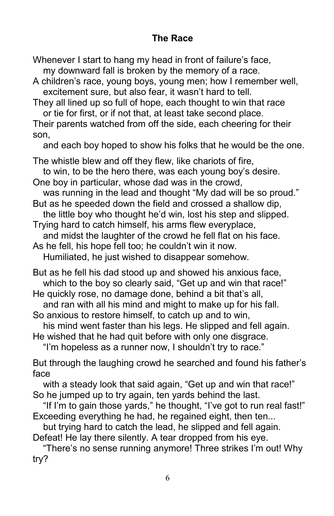- Whenever I start to hang my head in front of failure's face, my downward fall is broken by the memory of a race.
- A children's race, young boys, young men; how I remember well, excitement sure, but also fear, it wasn't hard to tell.
- They all lined up so full of hope, each thought to win that race or tie for first, or if not that, at least take second place.
- Their parents watched from off the side, each cheering for their son,

and each boy hoped to show his folks that he would be the one.

- The whistle blew and off they flew, like chariots of fire,
- to win, to be the hero there, was each young boy's desire.
- One boy in particular, whose dad was in the crowd,
- was running in the lead and thought "My dad will be so proud." But as he speeded down the field and crossed a shallow dip,
- the little boy who thought he'd win, lost his step and slipped.
- Trying hard to catch himself, his arms flew everyplace,

and midst the laughter of the crowd he fell flat on his face.

As he fell, his hope fell too; he couldn't win it now.

Humiliated, he just wished to disappear somehow.

But as he fell his dad stood up and showed his anxious face, which to the boy so clearly said, "Get up and win that race!"

He quickly rose, no damage done, behind a bit that's all,

- and ran with all his mind and might to make up for his fall. So anxious to restore himself, to catch up and to win,
- his mind went faster than his legs. He slipped and fell again.
- He wished that he had quit before with only one disgrace.

"I'm hopeless as a runner now, I shouldn't try to race."

But through the laughing crowd he searched and found his father's face

with a steady look that said again, "Get up and win that race!" So he jumped up to try again, ten yards behind the last.

 "If I'm to gain those yards," he thought, "I've got to run real fast!" Exceeding everything he had, he regained eight, then ten...

but trying hard to catch the lead, he slipped and fell again.

Defeat! He lay there silently. A tear dropped from his eye.

 "There's no sense running anymore! Three strikes I'm out! Why try?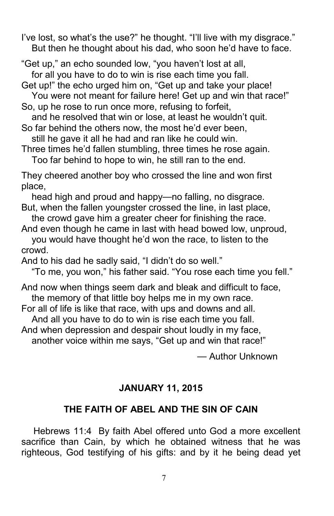I've lost, so what's the use?" he thought. "I'll live with my disgrace." But then he thought about his dad, who soon he'd have to face.

"Get up," an echo sounded low, "you haven't lost at all,

 for all you have to do to win is rise each time you fall. Get up!" the echo urged him on, "Get up and take your place!

 You were not meant for failure here! Get up and win that race!" So, up he rose to run once more, refusing to forfeit,

and he resolved that win or lose, at least he wouldn't quit.

So far behind the others now, the most he'd ever been, still he gave it all he had and ran like he could win.

Three times he'd fallen stumbling, three times he rose again. Too far behind to hope to win, he still ran to the end.

They cheered another boy who crossed the line and won first place,

 head high and proud and happy—no falling, no disgrace. But, when the fallen youngster crossed the line, in last place,

the crowd gave him a greater cheer for finishing the race.

And even though he came in last with head bowed low, unproud,

 you would have thought he'd won the race, to listen to the crowd.

And to his dad he sadly said, "I didn't do so well."

"To me, you won," his father said. "You rose each time you fell."

And now when things seem dark and bleak and difficult to face, the memory of that little boy helps me in my own race.

For all of life is like that race, with ups and downs and all.

And all you have to do to win is rise each time you fall.

And when depression and despair shout loudly in my face,

another voice within me says, "Get up and win that race!"

— Author Unknown

#### JANUARY 11, 2015

#### THE FAITH OF ABEL AND THE SIN OF CAIN

Hebrews 11:4 By faith Abel offered unto God a more excellent sacrifice than Cain, by which he obtained witness that he was righteous, God testifying of his gifts: and by it he being dead yet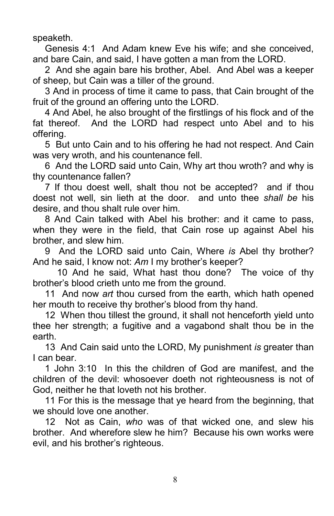speaketh.

Genesis 4:1 And Adam knew Eve his wife; and she conceived, and bare Cain, and said, I have gotten a man from the LORD.

2 And she again bare his brother, Abel. And Abel was a keeper of sheep, but Cain was a tiller of the ground.

3 And in process of time it came to pass, that Cain brought of the fruit of the ground an offering unto the LORD.

4 And Abel, he also brought of the firstlings of his flock and of the fat thereof. And the LORD had respect unto Abel and to his offering.

5 But unto Cain and to his offering he had not respect. And Cain was very wroth, and his countenance fell.

6 And the LORD said unto Cain, Why art thou wroth? and why is thy countenance fallen?

7 If thou doest well, shalt thou not be accepted? and if thou doest not well, sin lieth at the door. and unto thee shall be his desire, and thou shalt rule over him.

8 And Cain talked with Abel his brother: and it came to pass, when they were in the field, that Cain rose up against Abel his brother, and slew him.

9 And the LORD said unto Cain, Where is Abel thy brother? And he said, I know not: Am I my brother's keeper?

 10 And he said, What hast thou done? The voice of thy brother's blood crieth unto me from the ground.

11 And now art thou cursed from the earth, which hath opened her mouth to receive thy brother's blood from thy hand.

12 When thou tillest the ground, it shall not henceforth yield unto thee her strength; a fugitive and a vagabond shalt thou be in the earth.

13 And Cain said unto the LORD, My punishment is greater than I can bear.

1 John 3:10 In this the children of God are manifest, and the children of the devil: whosoever doeth not righteousness is not of God, neither he that loveth not his brother.

11 For this is the message that ye heard from the beginning, that we should love one another.

12 Not as Cain, who was of that wicked one, and slew his brother. And wherefore slew he him? Because his own works were evil, and his brother's righteous.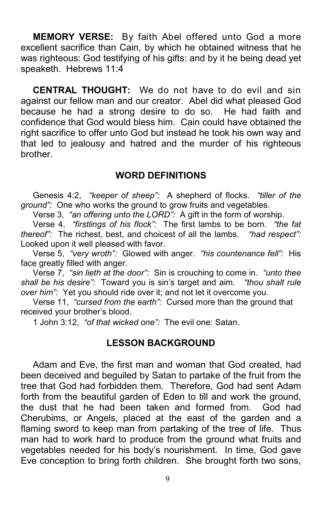MEMORY VERSE: By faith Abel offered unto God a more excellent sacrifice than Cain, by which he obtained witness that he was righteous: God testifying of his gifts: and by it he being dead yet speaketh. Hebrews 11:4

CENTRAL THOUGHT: We do not have to do evil and sin against our fellow man and our creator. Abel did what pleased God because he had a strong desire to do so. He had faith and confidence that God would bless him. Cain could have obtained the right sacrifice to offer unto God but instead he took his own way and that led to jealousy and hatred and the murder of his righteous brother.

#### WORD DEFINITIONS

Genesis 4:2, "keeper of sheep": A shepherd of flocks. "tiller of the ground": One who works the ground to grow fruits and vegetables.

Verse 3, "an offering unto the LORD": A gift in the form of worship.

Verse 4, "firstlings of his flock": The first lambs to be born. "the fat thereof": The richest, best, and choicest of all the lambs. "had respect": Looked upon it well pleased with favor.

Verse 5, "very wroth": Glowed with anger. "his countenance fell": His face greatly filled with anger.

Verse 7, "sin lieth at the door": Sin is crouching to come in. "unto thee shall be his desire": Toward you is sin's target and aim. "thou shalt rule over him": Yet you should ride over it; and not let it overcome you.

Verse 11, "cursed from the earth": Cursed more than the ground that received your brother's blood.

1 John 3:12, "of that wicked one": The evil one: Satan.

#### LESSON BACKGROUND

Adam and Eve, the first man and woman that God created, had been deceived and beguiled by Satan to partake of the fruit from the tree that God had forbidden them. Therefore, God had sent Adam forth from the beautiful garden of Eden to till and work the ground, the dust that he had been taken and formed from. God had Cherubims, or Angels, placed at the east of the garden and a flaming sword to keep man from partaking of the tree of life. Thus man had to work hard to produce from the ground what fruits and vegetables needed for his body's nourishment. In time, God gave Eve conception to bring forth children. She brought forth two sons,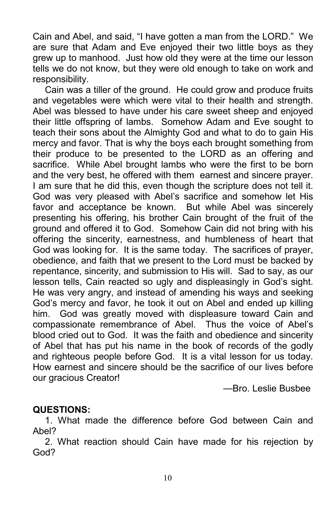Cain and Abel, and said, "I have gotten a man from the LORD." We are sure that Adam and Eve enjoyed their two little boys as they grew up to manhood. Just how old they were at the time our lesson tells we do not know, but they were old enough to take on work and responsibility.

Cain was a tiller of the ground. He could grow and produce fruits and vegetables were which were vital to their health and strength. Abel was blessed to have under his care sweet sheep and enjoyed their little offspring of lambs. Somehow Adam and Eve sought to teach their sons about the Almighty God and what to do to gain His mercy and favor. That is why the boys each brought something from their produce to be presented to the LORD as an offering and sacrifice. While Abel brought lambs who were the first to be born and the very best, he offered with them earnest and sincere prayer. I am sure that he did this, even though the scripture does not tell it. God was very pleased with Abel's sacrifice and somehow let His favor and acceptance be known. But while Abel was sincerely presenting his offering, his brother Cain brought of the fruit of the ground and offered it to God. Somehow Cain did not bring with his offering the sincerity, earnestness, and humbleness of heart that God was looking for. It is the same today. The sacrifices of prayer, obedience, and faith that we present to the Lord must be backed by repentance, sincerity, and submission to His will. Sad to say, as our lesson tells, Cain reacted so ugly and displeasingly in God's sight. He was very angry, and instead of amending his ways and seeking God's mercy and favor, he took it out on Abel and ended up killing him. God was greatly moved with displeasure toward Cain and compassionate remembrance of Abel. Thus the voice of Abel's blood cried out to God. It was the faith and obedience and sincerity of Abel that has put his name in the book of records of the godly and righteous people before God. It is a vital lesson for us today. How earnest and sincere should be the sacrifice of our lives before our gracious Creator!

—Bro. Leslie Busbee

#### QUESTIONS:

1. What made the difference before God between Cain and Abel?

2. What reaction should Cain have made for his rejection by God?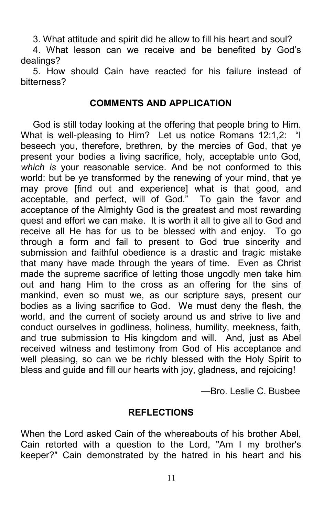3. What attitude and spirit did he allow to fill his heart and soul?

4. What lesson can we receive and be benefited by God's dealings?

5. How should Cain have reacted for his failure instead of bitterness?

#### COMMENTS AND APPLICATION

God is still today looking at the offering that people bring to Him. What is well-pleasing to Him? Let us notice Romans 12:1,2: "I beseech you, therefore, brethren, by the mercies of God, that ye present your bodies a living sacrifice, holy, acceptable unto God, which is your reasonable service. And be not conformed to this world: but be ye transformed by the renewing of your mind, that ye may prove [find out and experience] what is that good, and acceptable, and perfect, will of God." To gain the favor and acceptance of the Almighty God is the greatest and most rewarding quest and effort we can make. It is worth it all to give all to God and receive all He has for us to be blessed with and enjoy. To go through a form and fail to present to God true sincerity and submission and faithful obedience is a drastic and tragic mistake that many have made through the years of time. Even as Christ made the supreme sacrifice of letting those ungodly men take him out and hang Him to the cross as an offering for the sins of mankind, even so must we, as our scripture says, present our bodies as a living sacrifice to God. We must deny the flesh, the world, and the current of society around us and strive to live and conduct ourselves in godliness, holiness, humility, meekness, faith, and true submission to His kingdom and will. And, just as Abel received witness and testimony from God of His acceptance and well pleasing, so can we be richly blessed with the Holy Spirit to bless and guide and fill our hearts with joy, gladness, and rejoicing!

—Bro. Leslie C. Busbee

#### REFLECTIONS

When the Lord asked Cain of the whereabouts of his brother Abel, Cain retorted with a question to the Lord, "Am I my brother's keeper?" Cain demonstrated by the hatred in his heart and his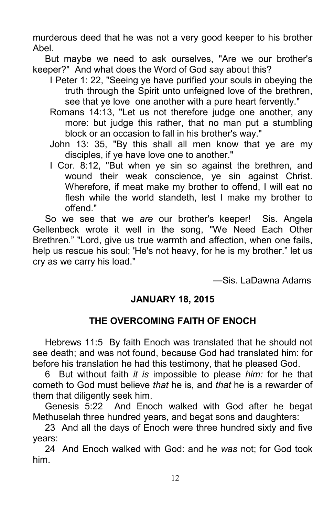murderous deed that he was not a very good keeper to his brother Abel.

But maybe we need to ask ourselves, "Are we our brother's keeper?" And what does the Word of God say about this?

- I Peter 1: 22, "Seeing ye have purified your souls in obeying the truth through the Spirit unto unfeigned love of the brethren, see that ye love one another with a pure heart fervently."
- Romans 14:13, "Let us not therefore judge one another, any more: but judge this rather, that no man put a stumbling block or an occasion to fall in his brother's way."
- John 13: 35, "By this shall all men know that ye are my disciples, if ye have love one to another."
- I Cor. 8:12, "But when ye sin so against the brethren, and wound their weak conscience, ye sin against Christ. Wherefore, if meat make my brother to offend, I will eat no flesh while the world standeth, lest I make my brother to offend."

So we see that we are our brother's keeper! Sis. Angela Gellenbeck wrote it well in the song, "We Need Each Other Brethren." "Lord, give us true warmth and affection, when one fails, help us rescue his soul; 'He's not heavy, for he is my brother." let us cry as we carry his load."

—Sis. LaDawna Adams

## JANUARY 18, 2015

## THE OVERCOMING FAITH OF ENOCH

Hebrews 11:5 By faith Enoch was translated that he should not see death; and was not found, because God had translated him: for before his translation he had this testimony, that he pleased God.

6 But without faith it is impossible to please him: for he that cometh to God must believe that he is, and that he is a rewarder of them that diligently seek him.

Genesis 5:22 And Enoch walked with God after he begat Methuselah three hundred years, and begat sons and daughters:

23 And all the days of Enoch were three hundred sixty and five years:

24 And Enoch walked with God: and he was not; for God took him.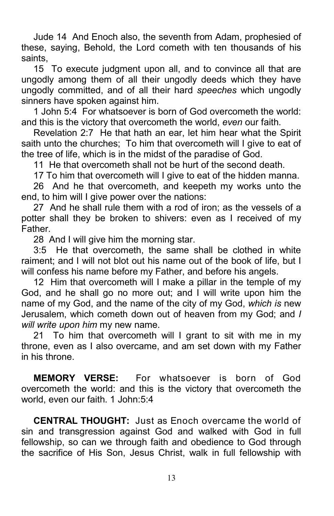Jude 14 And Enoch also, the seventh from Adam, prophesied of these, saying, Behold, the Lord cometh with ten thousands of his saints,

15 To execute judgment upon all, and to convince all that are ungodly among them of all their ungodly deeds which they have ungodly committed, and of all their hard speeches which ungodly sinners have spoken against him.

1 John 5:4 For whatsoever is born of God overcometh the world: and this is the victory that overcometh the world, even our faith.

Revelation 2:7 He that hath an ear, let him hear what the Spirit saith unto the churches; To him that overcometh will I give to eat of the tree of life, which is in the midst of the paradise of God.

11 He that overcometh shall not be hurt of the second death.

17 To him that overcometh will I give to eat of the hidden manna.

26 And he that overcometh, and keepeth my works unto the end, to him will I give power over the nations:

27 And he shall rule them with a rod of iron; as the vessels of a potter shall they be broken to shivers: even as I received of my Father.

28 And I will give him the morning star.

3:5 He that overcometh, the same shall be clothed in white raiment; and I will not blot out his name out of the book of life, but I will confess his name before my Father, and before his angels.

12 Him that overcometh will I make a pillar in the temple of my God, and he shall go no more out; and I will write upon him the name of my God, and the name of the city of my God, which is new Jerusalem, which cometh down out of heaven from my God; and I will write upon him my new name.

21 To him that overcometh will I grant to sit with me in my throne, even as I also overcame, and am set down with my Father in his throne.

MEMORY VERSE: For whatsoever is born of God overcometh the world: and this is the victory that overcometh the world, even our faith. 1 John:5:4

CENTRAL THOUGHT: Just as Enoch overcame the world of sin and transgression against God and walked with God in full fellowship, so can we through faith and obedience to God through the sacrifice of His Son, Jesus Christ, walk in full fellowship with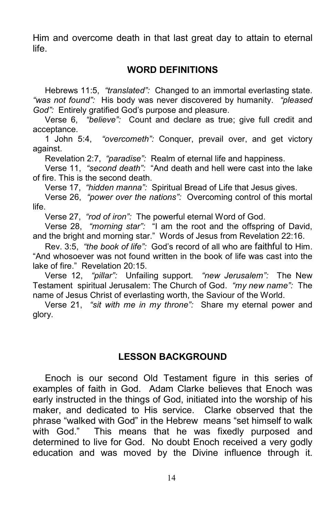Him and overcome death in that last great day to attain to eternal life.

#### WORD DEFINITIONS

Hebrews 11:5, "translated": Changed to an immortal everlasting state. "was not found": His body was never discovered by humanity. "pleased God": Entirely gratified God's purpose and pleasure.

Verse 6, "believe": Count and declare as true; give full credit and acceptance.

1 John 5:4, "overcometh": Conquer, prevail over, and get victory against.

Revelation 2:7, "paradise": Realm of eternal life and happiness.

Verse 11, "second death": "And death and hell were cast into the lake of fire. This is the second death.

Verse 17, "hidden manna": Spiritual Bread of Life that Jesus gives.

Verse 26, "power over the nations": Overcoming control of this mortal life.

Verse 27, "rod of iron": The powerful eternal Word of God.

Verse 28, "morning star": "I am the root and the offspring of David. and the bright and morning star." Words of Jesus from Revelation 22:16.

Rev. 3:5, "the book of life": God's record of all who are faithful to Him. "And whosoever was not found written in the book of life was cast into the lake of fire." Revelation 20:15.

Verse 12, "pillar": Unfailing support. "new Jerusalem": The New Testament spiritual Jerusalem: The Church of God. "my new name": The name of Jesus Christ of everlasting worth, the Saviour of the World.

Verse 21, "sit with me in my throne": Share my eternal power and glory.

#### LESSON BACKGROUND

Enoch is our second Old Testament figure in this series of examples of faith in God. Adam Clarke believes that Enoch was early instructed in the things of God, initiated into the worship of his maker, and dedicated to His service. Clarke observed that the phrase "walked with God" in the Hebrew means "set himself to walk with God." This means that he was fixedly purposed and determined to live for God. No doubt Enoch received a very godly education and was moved by the Divine influence through it.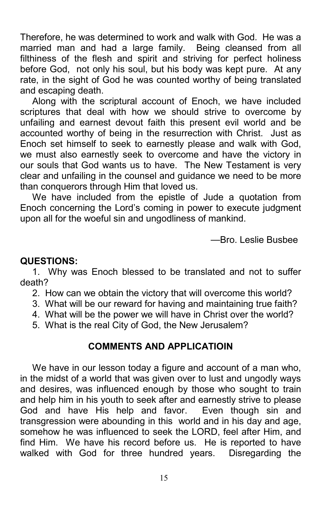Therefore, he was determined to work and walk with God. He was a married man and had a large family. Being cleansed from all filthiness of the flesh and spirit and striving for perfect holiness before God, not only his soul, but his body was kept pure. At any rate, in the sight of God he was counted worthy of being translated and escaping death.

Along with the scriptural account of Enoch, we have included scriptures that deal with how we should strive to overcome by unfailing and earnest devout faith this present evil world and be accounted worthy of being in the resurrection with Christ. Just as Enoch set himself to seek to earnestly please and walk with God, we must also earnestly seek to overcome and have the victory in our souls that God wants us to have. The New Testament is very clear and unfailing in the counsel and guidance we need to be more than conquerors through Him that loved us.

We have included from the epistle of Jude a quotation from Enoch concerning the Lord's coming in power to execute judgment upon all for the woeful sin and ungodliness of mankind.

—Bro. Leslie Busbee

#### QUESTIONS:

1. Why was Enoch blessed to be translated and not to suffer death?

- 2. How can we obtain the victory that will overcome this world?
- 3. What will be our reward for having and maintaining true faith?
- 4. What will be the power we will have in Christ over the world?
- 5. What is the real City of God, the New Jerusalem?

#### COMMENTS AND APPLICATIOIN

We have in our lesson today a figure and account of a man who, in the midst of a world that was given over to lust and ungodly ways and desires, was influenced enough by those who sought to train and help him in his youth to seek after and earnestly strive to please God and have His help and favor. Even though sin and transgression were abounding in this world and in his day and age, somehow he was influenced to seek the LORD, feel after Him, and find Him. We have his record before us. He is reported to have walked with God for three hundred years. Disregarding the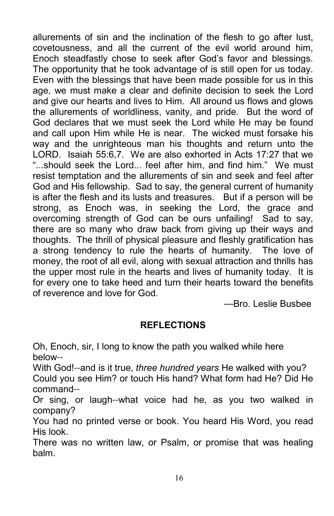allurements of sin and the inclination of the flesh to go after lust, covetousness, and all the current of the evil world around him, Enoch steadfastly chose to seek after God's favor and blessings. The opportunity that he took advantage of is still open for us today. Even with the blessings that have been made possible for us in this age, we must make a clear and definite decision to seek the Lord and give our hearts and lives to Him. All around us flows and glows the allurements of worldliness, vanity, and pride. But the word of God declares that we must seek the Lord while He may be found and call upon Him while He is near. The wicked must forsake his way and the unrighteous man his thoughts and return unto the LORD. Isaiah 55:6,7. We are also exhorted in Acts 17:27 that we "...should seek the Lord... feel after him, and find him." We must resist temptation and the allurements of sin and seek and feel after God and His fellowship. Sad to say, the general current of humanity is after the flesh and its lusts and treasures. But if a person will be strong, as Enoch was, in seeking the Lord, the grace and overcoming strength of God can be ours unfailing! Sad to say, there are so many who draw back from giving up their ways and thoughts. The thrill of physical pleasure and fleshly gratification has a strong tendency to rule the hearts of humanity. The love of money, the root of all evil, along with sexual attraction and thrills has the upper most rule in the hearts and lives of humanity today. It is for every one to take heed and turn their hearts toward the benefits of reverence and love for God.

—Bro. Leslie Busbee

## REFLECTIONS

Oh, Enoch, sir, I long to know the path you walked while here below--

With God!--and is it true, three hundred years He walked with you? Could you see Him? or touch His hand? What form had He? Did He command--

Or sing, or laugh--what voice had he, as you two walked in company?

You had no printed verse or book. You heard His Word, you read His look.

There was no written law, or Psalm, or promise that was healing balm.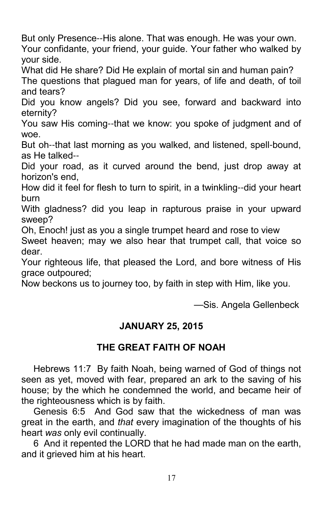But only Presence--His alone. That was enough. He was your own. Your confidante, your friend, your guide. Your father who walked by your side.

What did He share? Did He explain of mortal sin and human pain? The questions that plagued man for years, of life and death, of toil and tears?

Did you know angels? Did you see, forward and backward into eternity?

You saw His coming--that we know: you spoke of judgment and of woe.

But oh--that last morning as you walked, and listened, spell-bound, as He talked--

Did your road, as it curved around the bend, just drop away at horizon's end,

How did it feel for flesh to turn to spirit, in a twinkling--did your heart burn

With gladness? did you leap in rapturous praise in your upward sweep?

Oh, Enoch! just as you a single trumpet heard and rose to view

Sweet heaven; may we also hear that trumpet call, that voice so dear.

Your righteous life, that pleased the Lord, and bore witness of His grace outpoured;

Now beckons us to journey too, by faith in step with Him, like you.

—Sis. Angela Gellenbeck

## JANUARY 25, 2015

## THE GREAT FAITH OF NOAH

Hebrews 11:7 By faith Noah, being warned of God of things not seen as yet, moved with fear, prepared an ark to the saving of his house; by the which he condemned the world, and became heir of the righteousness which is by faith.

Genesis 6:5 And God saw that the wickedness of man was great in the earth, and that every imagination of the thoughts of his heart was only evil continually.

6 And it repented the LORD that he had made man on the earth, and it grieved him at his heart.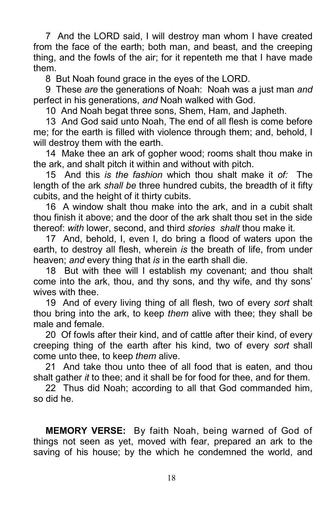7 And the LORD said, I will destroy man whom I have created from the face of the earth; both man, and beast, and the creeping thing, and the fowls of the air; for it repenteth me that I have made them.

8 But Noah found grace in the eyes of the LORD.

9 These are the generations of Noah: Noah was a just man and perfect in his generations, and Noah walked with God.

10 And Noah begat three sons, Shem, Ham, and Japheth.

13 And God said unto Noah, The end of all flesh is come before me; for the earth is filled with violence through them; and, behold, I will destroy them with the earth.

14 Make thee an ark of gopher wood; rooms shalt thou make in the ark, and shalt pitch it within and without with pitch.

15 And this is the fashion which thou shalt make it of: The length of the ark shall be three hundred cubits, the breadth of it fifty cubits, and the height of it thirty cubits.

16 A window shalt thou make into the ark, and in a cubit shalt thou finish it above; and the door of the ark shalt thou set in the side thereof: with lower, second, and third stories shalt thou make it.

17 And, behold, I, even I, do bring a flood of waters upon the earth, to destroy all flesh, wherein is the breath of life, from under heaven; and every thing that is in the earth shall die.

18 But with thee will I establish my covenant; and thou shalt come into the ark, thou, and thy sons, and thy wife, and thy sons' wives with thee.

19 And of every living thing of all flesh, two of every sort shalt thou bring into the ark, to keep them alive with thee; they shall be male and female.

20 Of fowls after their kind, and of cattle after their kind, of every creeping thing of the earth after his kind, two of every sort shall come unto thee, to keep them alive.

21 And take thou unto thee of all food that is eaten, and thou shalt gather it to thee; and it shall be for food for thee, and for them.

22 Thus did Noah; according to all that God commanded him, so did he.

MEMORY VERSE: By faith Noah, being warned of God of things not seen as yet, moved with fear, prepared an ark to the saving of his house; by the which he condemned the world, and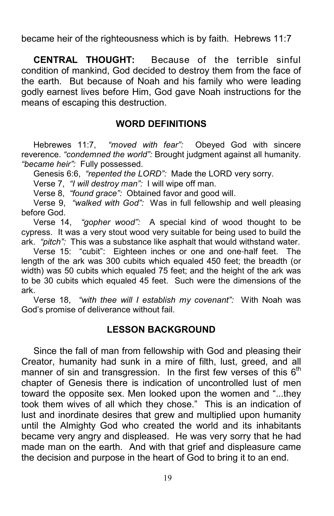became heir of the righteousness which is by faith. Hebrews 11:7

CENTRAL THOUGHT: Because of the terrible sinful condition of mankind, God decided to destroy them from the face of the earth. But because of Noah and his family who were leading godly earnest lives before Him, God gave Noah instructions for the means of escaping this destruction.

#### WORD DEFINITIONS

Hebrewes 11:7, "moved with fear": Obeyed God with sincere reverence. "condemned the world": Brought judgment against all humanity. "became heir": Fully possessed.

Genesis 6:6, "repented the LORD": Made the LORD very sorry.

Verse 7, "I will destroy man": I will wipe off man.

Verse 8, "found grace": Obtained favor and good will.

Verse 9, "walked with God": Was in full fellowship and well pleasing before God.

Verse 14, "gopher wood": A special kind of wood thought to be cypress. It was a very stout wood very suitable for being used to build the ark. "pitch": This was a substance like asphalt that would withstand water.

Verse 15: "cubit": Eighteen inches or one and one-half feet. The length of the ark was 300 cubits which equaled 450 feet; the breadth (or width) was 50 cubits which equaled 75 feet; and the height of the ark was to be 30 cubits which equaled 45 feet. Such were the dimensions of the ark.

Verse 18, "with thee will I establish my covenant": With Noah was God's promise of deliverance without fail.

#### LESSON BACKGROUND

Since the fall of man from fellowship with God and pleasing their Creator, humanity had sunk in a mire of filth, lust, greed, and all manner of sin and transgression. In the first few verses of this  $6<sup>th</sup>$ chapter of Genesis there is indication of uncontrolled lust of men toward the opposite sex. Men looked upon the women and "...they took them wives of all which they chose." This is an indication of lust and inordinate desires that grew and multiplied upon humanity until the Almighty God who created the world and its inhabitants became very angry and displeased. He was very sorry that he had made man on the earth. And with that grief and displeasure came the decision and purpose in the heart of God to bring it to an end.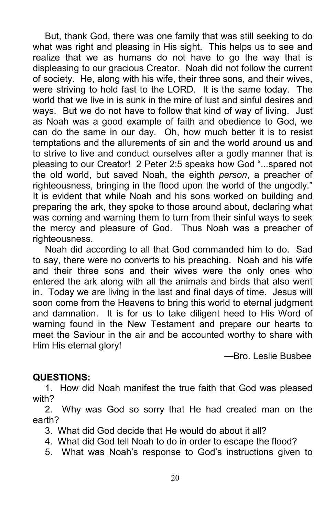But, thank God, there was one family that was still seeking to do what was right and pleasing in His sight. This helps us to see and realize that we as humans do not have to go the way that is displeasing to our gracious Creator. Noah did not follow the current of society. He, along with his wife, their three sons, and their wives, were striving to hold fast to the LORD. It is the same today. The world that we live in is sunk in the mire of lust and sinful desires and ways. But we do not have to follow that kind of way of living. Just as Noah was a good example of faith and obedience to God, we can do the same in our day. Oh, how much better it is to resist temptations and the allurements of sin and the world around us and to strive to live and conduct ourselves after a godly manner that is pleasing to our Creator! 2 Peter 2:5 speaks how God "...spared not the old world, but saved Noah, the eighth person, a preacher of righteousness, bringing in the flood upon the world of the ungodly." It is evident that while Noah and his sons worked on building and preparing the ark, they spoke to those around about, declaring what was coming and warning them to turn from their sinful ways to seek the mercy and pleasure of God. Thus Noah was a preacher of righteousness.

Noah did according to all that God commanded him to do. Sad to say, there were no converts to his preaching. Noah and his wife and their three sons and their wives were the only ones who entered the ark along with all the animals and birds that also went in. Today we are living in the last and final days of time. Jesus will soon come from the Heavens to bring this world to eternal judgment and damnation. It is for us to take diligent heed to His Word of warning found in the New Testament and prepare our hearts to meet the Saviour in the air and be accounted worthy to share with Him His eternal glory!

—Bro. Leslie Busbee

#### QUESTIONS:

1. How did Noah manifest the true faith that God was pleased with?

2. Why was God so sorry that He had created man on the earth?

3. What did God decide that He would do about it all?

4. What did God tell Noah to do in order to escape the flood?

5. What was Noah's response to God's instructions given to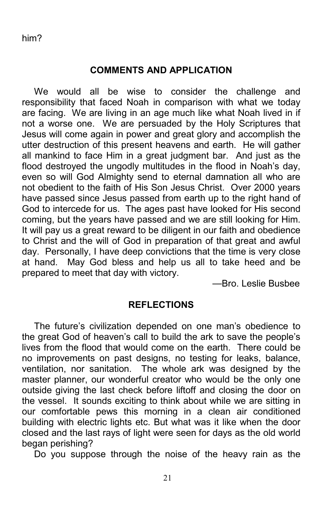#### COMMENTS AND APPLICATION

We would all be wise to consider the challenge and responsibility that faced Noah in comparison with what we today are facing. We are living in an age much like what Noah lived in if not a worse one. We are persuaded by the Holy Scriptures that Jesus will come again in power and great glory and accomplish the utter destruction of this present heavens and earth. He will gather all mankind to face Him in a great judgment bar. And just as the flood destroyed the ungodly multitudes in the flood in Noah's day, even so will God Almighty send to eternal damnation all who are not obedient to the faith of His Son Jesus Christ. Over 2000 years have passed since Jesus passed from earth up to the right hand of God to intercede for us. The ages past have looked for His second coming, but the years have passed and we are still looking for Him. It will pay us a great reward to be diligent in our faith and obedience to Christ and the will of God in preparation of that great and awful day. Personally, I have deep convictions that the time is very close at hand. May God bless and help us all to take heed and be prepared to meet that day with victory.

—Bro. Leslie Busbee

#### **REFLECTIONS**

The future's civilization depended on one man's obedience to the great God of heaven's call to build the ark to save the people's lives from the flood that would come on the earth. There could be no improvements on past designs, no testing for leaks, balance, ventilation, nor sanitation. The whole ark was designed by the master planner, our wonderful creator who would be the only one outside giving the last check before liftoff and closing the door on the vessel. It sounds exciting to think about while we are sitting in our comfortable pews this morning in a clean air conditioned building with electric lights etc. But what was it like when the door closed and the last rays of light were seen for days as the old world began perishing?

Do you suppose through the noise of the heavy rain as the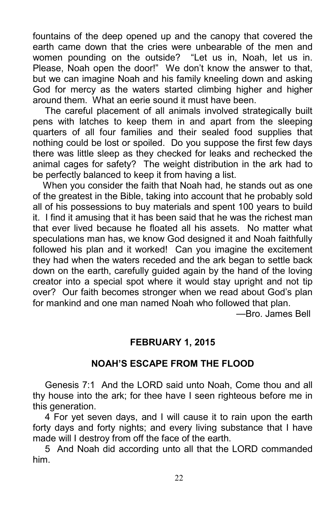fountains of the deep opened up and the canopy that covered the earth came down that the cries were unbearable of the men and women pounding on the outside? "Let us in, Noah, let us in. Please, Noah open the door!" We don't know the answer to that, but we can imagine Noah and his family kneeling down and asking God for mercy as the waters started climbing higher and higher around them. What an eerie sound it must have been.

The careful placement of all animals involved strategically built pens with latches to keep them in and apart from the sleeping quarters of all four families and their sealed food supplies that nothing could be lost or spoiled. Do you suppose the first few days there was little sleep as they checked for leaks and rechecked the animal cages for safety? The weight distribution in the ark had to be perfectly balanced to keep it from having a list.

 When you consider the faith that Noah had, he stands out as one of the greatest in the Bible, taking into account that he probably sold all of his possessions to buy materials and spent 100 years to build it. I find it amusing that it has been said that he was the richest man that ever lived because he floated all his assets. No matter what speculations man has, we know God designed it and Noah faithfully followed his plan and it worked! Can you imagine the excitement they had when the waters receded and the ark began to settle back down on the earth, carefully guided again by the hand of the loving creator into a special spot where it would stay upright and not tip over? Our faith becomes stronger when we read about God's plan for mankind and one man named Noah who followed that plan.

—Bro. James Bell

#### FEBRUARY 1, 2015

#### NOAH'S ESCAPE FROM THE FLOOD

Genesis 7:1 And the LORD said unto Noah, Come thou and all thy house into the ark; for thee have I seen righteous before me in this generation.

4 For yet seven days, and I will cause it to rain upon the earth forty days and forty nights; and every living substance that I have made will I destroy from off the face of the earth.

5 And Noah did according unto all that the LORD commanded him.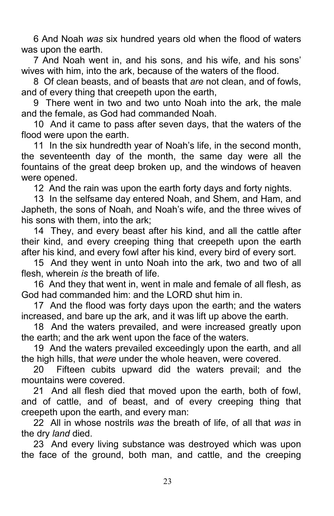6 And Noah was six hundred years old when the flood of waters was upon the earth.

7 And Noah went in, and his sons, and his wife, and his sons' wives with him, into the ark, because of the waters of the flood.

8 Of clean beasts, and of beasts that are not clean, and of fowls, and of every thing that creepeth upon the earth,

9 There went in two and two unto Noah into the ark, the male and the female, as God had commanded Noah.

10 And it came to pass after seven days, that the waters of the flood were upon the earth.

11 In the six hundredth year of Noah's life, in the second month, the seventeenth day of the month, the same day were all the fountains of the great deep broken up, and the windows of heaven were opened.

12 And the rain was upon the earth forty days and forty nights.

13 In the selfsame day entered Noah, and Shem, and Ham, and Japheth, the sons of Noah, and Noah's wife, and the three wives of his sons with them, into the ark;

14 They, and every beast after his kind, and all the cattle after their kind, and every creeping thing that creepeth upon the earth after his kind, and every fowl after his kind, every bird of every sort.

15 And they went in unto Noah into the ark, two and two of all flesh, wherein is the breath of life.

16 And they that went in, went in male and female of all flesh, as God had commanded him: and the LORD shut him in.

17 And the flood was forty days upon the earth; and the waters increased, and bare up the ark, and it was lift up above the earth.

18 And the waters prevailed, and were increased greatly upon the earth; and the ark went upon the face of the waters.

19 And the waters prevailed exceedingly upon the earth, and all the high hills, that were under the whole heaven, were covered.

20 Fifteen cubits upward did the waters prevail; and the mountains were covered.

21 And all flesh died that moved upon the earth, both of fowl, and of cattle, and of beast, and of every creeping thing that creepeth upon the earth, and every man:

22 All in whose nostrils was the breath of life, of all that was in the dry *land* died.

23 And every living substance was destroyed which was upon the face of the ground, both man, and cattle, and the creeping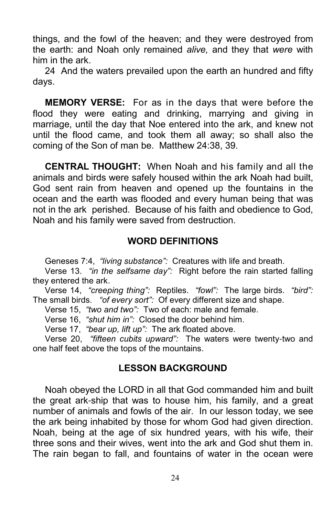things, and the fowl of the heaven; and they were destroyed from the earth: and Noah only remained alive, and they that were with him in the ark.

24 And the waters prevailed upon the earth an hundred and fifty days.

MEMORY VERSE: For as in the days that were before the flood they were eating and drinking, marrying and giving in marriage, until the day that Noe entered into the ark, and knew not until the flood came, and took them all away; so shall also the coming of the Son of man be. Matthew 24:38, 39.

CENTRAL THOUGHT: When Noah and his family and all the animals and birds were safely housed within the ark Noah had built, God sent rain from heaven and opened up the fountains in the ocean and the earth was flooded and every human being that was not in the ark perished. Because of his faith and obedience to God, Noah and his family were saved from destruction.

#### WORD DEFINITIONS

Geneses 7:4, "living substance": Creatures with life and breath.

Verse 13. "in the selfsame day": Right before the rain started falling they entered the ark.

Verse 14, "creeping thing": Reptiles. "fowl": The large birds. "bird": The small birds. "of every sort": Of every different size and shape.

Verse 15, "two and two": Two of each: male and female.

Verse 16, "shut him in": Closed the door behind him.

Verse 17, "bear up, lift up": The ark floated above.

Verse 20, "fifteen cubits upward": The waters were twenty-two and one half feet above the tops of the mountains.

#### LESSON BACKGROUND

Noah obeyed the LORD in all that God commanded him and built the great ark-ship that was to house him, his family, and a great number of animals and fowls of the air. In our lesson today, we see the ark being inhabited by those for whom God had given direction. Noah, being at the age of six hundred years, with his wife, their three sons and their wives, went into the ark and God shut them in. The rain began to fall, and fountains of water in the ocean were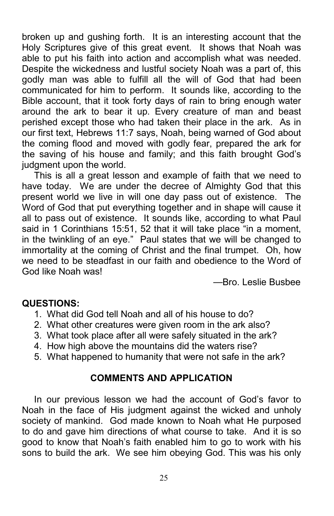broken up and gushing forth. It is an interesting account that the Holy Scriptures give of this great event. It shows that Noah was able to put his faith into action and accomplish what was needed. Despite the wickedness and lustful society Noah was a part of, this godly man was able to fulfill all the will of God that had been communicated for him to perform. It sounds like, according to the Bible account, that it took forty days of rain to bring enough water around the ark to bear it up. Every creature of man and beast perished except those who had taken their place in the ark. As in our first text, Hebrews 11:7 says, Noah, being warned of God about the coming flood and moved with godly fear, prepared the ark for the saving of his house and family; and this faith brought God's judgment upon the world.

This is all a great lesson and example of faith that we need to have today. We are under the decree of Almighty God that this present world we live in will one day pass out of existence. The Word of God that put everything together and in shape will cause it all to pass out of existence. It sounds like, according to what Paul said in 1 Corinthians 15:51, 52 that it will take place "in a moment, in the twinkling of an eye." Paul states that we will be changed to immortality at the coming of Christ and the final trumpet. Oh, how we need to be steadfast in our faith and obedience to the Word of God like Noah was!

—Bro. Leslie Busbee

#### QUESTIONS:

- 1. What did God tell Noah and all of his house to do?
- 2. What other creatures were given room in the ark also?
- 3. What took place after all were safely situated in the ark?
- 4. How high above the mountains did the waters rise?
- 5. What happened to humanity that were not safe in the ark?

#### COMMENTS AND APPLICATION

In our previous lesson we had the account of God's favor to Noah in the face of His judgment against the wicked and unholy society of mankind. God made known to Noah what He purposed to do and gave him directions of what course to take. And it is so good to know that Noah's faith enabled him to go to work with his sons to build the ark. We see him obeying God. This was his only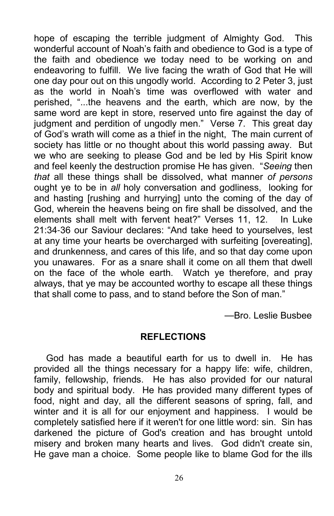hope of escaping the terrible judgment of Almighty God. This wonderful account of Noah's faith and obedience to God is a type of the faith and obedience we today need to be working on and endeavoring to fulfill. We live facing the wrath of God that He will one day pour out on this ungodly world. According to 2 Peter 3, just as the world in Noah's time was overflowed with water and perished, "...the heavens and the earth, which are now, by the same word are kept in store, reserved unto fire against the day of judgment and perdition of ungodly men." Verse 7. This great day of God's wrath will come as a thief in the night, The main current of society has little or no thought about this world passing away. But we who are seeking to please God and be led by His Spirit know and feel keenly the destruction promise He has given. "Seeing then that all these things shall be dissolved, what manner of persons ought ye to be in all holy conversation and godliness, looking for and hasting [rushing and hurrying] unto the coming of the day of God, wherein the heavens being on fire shall be dissolved, and the elements shall melt with fervent heat?" Verses 11, 12. In Luke 21:34-36 our Saviour declares: "And take heed to yourselves, lest at any time your hearts be overcharged with surfeiting [overeating], and drunkenness, and cares of this life, and so that day come upon you unawares. For as a snare shall it come on all them that dwell on the face of the whole earth. Watch ye therefore, and pray always, that ye may be accounted worthy to escape all these things that shall come to pass, and to stand before the Son of man."

—Bro. Leslie Busbee

#### **REFLECTIONS**

God has made a beautiful earth for us to dwell in. He has provided all the things necessary for a happy life: wife, children, family, fellowship, friends. He has also provided for our natural body and spiritual body. He has provided many different types of food, night and day, all the different seasons of spring, fall, and winter and it is all for our enjoyment and happiness. I would be completely satisfied here if it weren't for one little word: sin. Sin has darkened the picture of God's creation and has brought untold misery and broken many hearts and lives. God didn't create sin, He gave man a choice. Some people like to blame God for the ills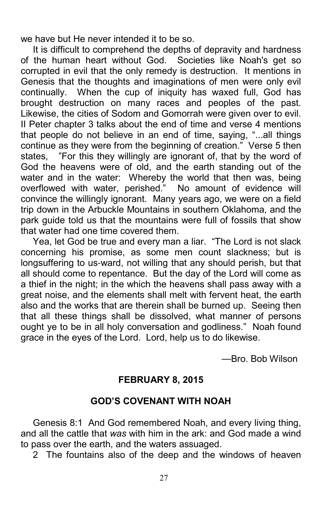we have but He never intended it to be so.

It is difficult to comprehend the depths of depravity and hardness of the human heart without God. Societies like Noah's get so corrupted in evil that the only remedy is destruction. It mentions in Genesis that the thoughts and imaginations of men were only evil continually. When the cup of iniquity has waxed full, God has brought destruction on many races and peoples of the past. Likewise, the cities of Sodom and Gomorrah were given over to evil. II Peter chapter 3 talks about the end of time and verse 4 mentions that people do not believe in an end of time, saying, "...all things continue as they were from the beginning of creation." Verse 5 then states, "For this they willingly are ignorant of, that by the word of God the heavens were of old, and the earth standing out of the water and in the water: Whereby the world that then was, being overflowed with water, perished." No amount of evidence will convince the willingly ignorant. Many years ago, we were on a field trip down in the Arbuckle Mountains in southern Oklahoma, and the park guide told us that the mountains were full of fossils that show that water had one time covered them.

Yea, let God be true and every man a liar. "The Lord is not slack concerning his promise, as some men count slackness; but is longsuffering to us-ward, not willing that any should perish, but that all should come to repentance. But the day of the Lord will come as a thief in the night; in the which the heavens shall pass away with a great noise, and the elements shall melt with fervent heat, the earth also and the works that are therein shall be burned up. Seeing then that all these things shall be dissolved, what manner of persons ought ye to be in all holy conversation and godliness." Noah found grace in the eyes of the Lord. Lord, help us to do likewise.

—Bro. Bob Wilson

#### FEBRUARY 8, 2015

#### GOD'S COVENANT WITH NOAH

Genesis 8:1 And God remembered Noah, and every living thing, and all the cattle that was with him in the ark: and God made a wind to pass over the earth, and the waters assuaged.

2 The fountains also of the deep and the windows of heaven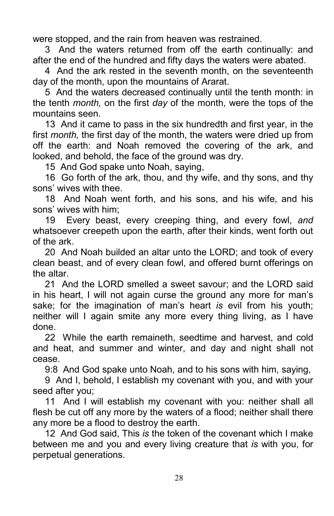were stopped, and the rain from heaven was restrained.

3 And the waters returned from off the earth continually: and after the end of the hundred and fifty days the waters were abated.

4 And the ark rested in the seventh month, on the seventeenth day of the month, upon the mountains of Ararat.

5 And the waters decreased continually until the tenth month: in the tenth month, on the first day of the month, were the tops of the mountains seen.

13 And it came to pass in the six hundredth and first year, in the first *month*, the first day of the month, the waters were dried up from off the earth: and Noah removed the covering of the ark, and looked, and behold, the face of the ground was dry.

15 And God spake unto Noah, saying,

16 Go forth of the ark, thou, and thy wife, and thy sons, and thy sons' wives with thee.

18 And Noah went forth, and his sons, and his wife, and his sons' wives with him;

19 Every beast, every creeping thing, and every fowl, and whatsoever creepeth upon the earth, after their kinds, went forth out of the ark.

20 And Noah builded an altar unto the LORD; and took of every clean beast, and of every clean fowl, and offered burnt offerings on the altar.

21 And the LORD smelled a sweet savour; and the LORD said in his heart, I will not again curse the ground any more for man's sake; for the imagination of man's heart is evil from his youth; neither will I again smite any more every thing living, as I have done.

22 While the earth remaineth, seedtime and harvest, and cold and heat, and summer and winter, and day and night shall not cease.

9:8 And God spake unto Noah, and to his sons with him, saying,

9 And I, behold, I establish my covenant with you, and with your seed after you;

11 And I will establish my covenant with you: neither shall all flesh be cut off any more by the waters of a flood; neither shall there any more be a flood to destroy the earth.

12 And God said, This is the token of the covenant which I make between me and you and every living creature that is with you, for perpetual generations.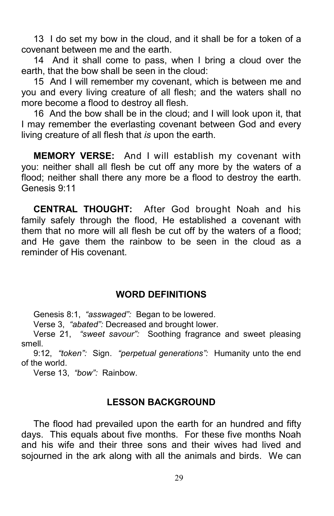13 I do set my bow in the cloud, and it shall be for a token of a covenant between me and the earth.

14 And it shall come to pass, when I bring a cloud over the earth, that the bow shall be seen in the cloud:

15 And I will remember my covenant, which is between me and you and every living creature of all flesh; and the waters shall no more become a flood to destroy all flesh.

16 And the bow shall be in the cloud; and I will look upon it, that I may remember the everlasting covenant between God and every living creature of all flesh that is upon the earth.

**MEMORY VERSE:** And I will establish my covenant with you: neither shall all flesh be cut off any more by the waters of a flood; neither shall there any more be a flood to destroy the earth. Genesis 9:11

CENTRAL THOUGHT: After God brought Noah and his family safely through the flood, He established a covenant with them that no more will all flesh be cut off by the waters of a flood; and He gave them the rainbow to be seen in the cloud as a reminder of His covenant.

#### WORD DEFINITIONS

Genesis 8:1, "asswaged": Began to be lowered.

Verse 3, "abated": Decreased and brought lower.

Verse 21, "sweet savour": Soothing fragrance and sweet pleasing smell.

9:12, "token": Sign. "perpetual generations": Humanity unto the end of the world.

Verse 13, "bow": Rainbow.

#### LESSON BACKGROUND

The flood had prevailed upon the earth for an hundred and fifty days. This equals about five months. For these five months Noah and his wife and their three sons and their wives had lived and sojourned in the ark along with all the animals and birds. We can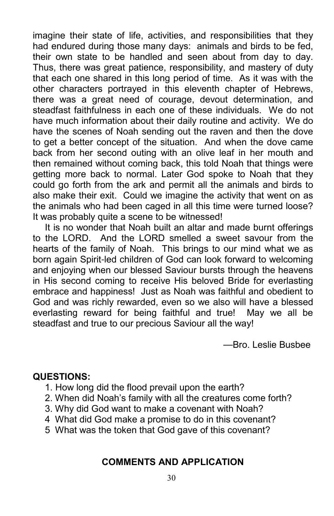imagine their state of life, activities, and responsibilities that they had endured during those many days: animals and birds to be fed, their own state to be handled and seen about from day to day. Thus, there was great patience, responsibility, and mastery of duty that each one shared in this long period of time. As it was with the other characters portrayed in this eleventh chapter of Hebrews, there was a great need of courage, devout determination, and steadfast faithfulness in each one of these individuals. We do not have much information about their daily routine and activity. We do have the scenes of Noah sending out the raven and then the dove to get a better concept of the situation. And when the dove came back from her second outing with an olive leaf in her mouth and then remained without coming back, this told Noah that things were getting more back to normal. Later God spoke to Noah that they could go forth from the ark and permit all the animals and birds to also make their exit. Could we imagine the activity that went on as the animals who had been caged in all this time were turned loose? It was probably quite a scene to be witnessed!

It is no wonder that Noah built an altar and made burnt offerings to the LORD. And the LORD smelled a sweet savour from the hearts of the family of Noah. This brings to our mind what we as born again Spirit-led children of God can look forward to welcoming and enjoying when our blessed Saviour bursts through the heavens in His second coming to receive His beloved Bride for everlasting embrace and happiness! Just as Noah was faithful and obedient to God and was richly rewarded, even so we also will have a blessed everlasting reward for being faithful and true! May we all be steadfast and true to our precious Saviour all the way!

—Bro. Leslie Busbee

#### QUESTIONS:

- 1. How long did the flood prevail upon the earth?
- 2. When did Noah's family with all the creatures come forth?
- 3. Why did God want to make a covenant with Noah?
- 4 What did God make a promise to do in this covenant?
- 5 What was the token that God gave of this covenant?

#### COMMENTS AND APPLICATION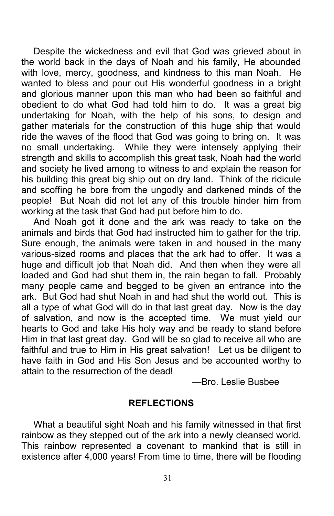Despite the wickedness and evil that God was grieved about in the world back in the days of Noah and his family, He abounded with love, mercy, goodness, and kindness to this man Noah. He wanted to bless and pour out His wonderful goodness in a bright and glorious manner upon this man who had been so faithful and obedient to do what God had told him to do. It was a great big undertaking for Noah, with the help of his sons, to design and gather materials for the construction of this huge ship that would ride the waves of the flood that God was going to bring on. It was no small undertaking. While they were intensely applying their strength and skills to accomplish this great task, Noah had the world and society he lived among to witness to and explain the reason for his building this great big ship out on dry land. Think of the ridicule and scoffing he bore from the ungodly and darkened minds of the people! But Noah did not let any of this trouble hinder him from working at the task that God had put before him to do.

And Noah got it done and the ark was ready to take on the animals and birds that God had instructed him to gather for the trip. Sure enough, the animals were taken in and housed in the many various-sized rooms and places that the ark had to offer. It was a huge and difficult job that Noah did. And then when they were all loaded and God had shut them in, the rain began to fall. Probably many people came and begged to be given an entrance into the ark. But God had shut Noah in and had shut the world out. This is all a type of what God will do in that last great day. Now is the day of salvation, and now is the accepted time. We must yield our hearts to God and take His holy way and be ready to stand before Him in that last great day. God will be so glad to receive all who are faithful and true to Him in His great salvation! Let us be diligent to have faith in God and His Son Jesus and be accounted worthy to attain to the resurrection of the dead!

—Bro. Leslie Busbee

#### REFLECTIONS

What a beautiful sight Noah and his family witnessed in that first rainbow as they stepped out of the ark into a newly cleansed world. This rainbow represented a covenant to mankind that is still in existence after 4,000 years! From time to time, there will be flooding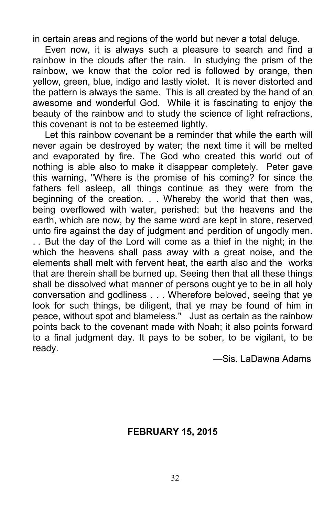in certain areas and regions of the world but never a total deluge.

Even now, it is always such a pleasure to search and find a rainbow in the clouds after the rain. In studying the prism of the rainbow, we know that the color red is followed by orange, then yellow, green, blue, indigo and lastly violet. It is never distorted and the pattern is always the same. This is all created by the hand of an awesome and wonderful God. While it is fascinating to enjoy the beauty of the rainbow and to study the science of light refractions, this covenant is not to be esteemed lightly.

Let this rainbow covenant be a reminder that while the earth will never again be destroyed by water; the next time it will be melted and evaporated by fire. The God who created this world out of nothing is able also to make it disappear completely. Peter gave this warning, "Where is the promise of his coming? for since the fathers fell asleep, all things continue as they were from the beginning of the creation. . . Whereby the world that then was, being overflowed with water, perished: but the heavens and the earth, which are now, by the same word are kept in store, reserved unto fire against the day of judgment and perdition of ungodly men. . . But the day of the Lord will come as a thief in the night; in the which the heavens shall pass away with a great noise, and the elements shall melt with fervent heat, the earth also and the works that are therein shall be burned up. Seeing then that all these things shall be dissolved what manner of persons ought ye to be in all holy conversation and godliness . . . Wherefore beloved, seeing that ye look for such things, be diligent, that ye may be found of him in peace, without spot and blameless." Just as certain as the rainbow points back to the covenant made with Noah; it also points forward to a final judgment day. It pays to be sober, to be vigilant, to be ready.

—Sis. LaDawna Adams

## FEBRUARY 15, 2015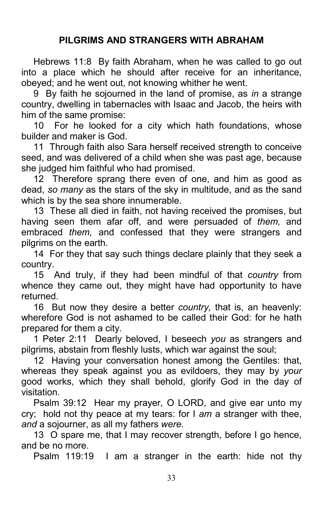Hebrews 11:8 By faith Abraham, when he was called to go out into a place which he should after receive for an inheritance, obeyed; and he went out, not knowing whither he went.

9 By faith he sojourned in the land of promise, as in a strange country, dwelling in tabernacles with Isaac and Jacob, the heirs with him of the same promise:

10 For he looked for a city which hath foundations, whose builder and maker is God.

11 Through faith also Sara herself received strength to conceive seed, and was delivered of a child when she was past age, because she judged him faithful who had promised.

12 Therefore sprang there even of one, and him as good as dead, so many as the stars of the sky in multitude, and as the sand which is by the sea shore innumerable.

13 These all died in faith, not having received the promises, but having seen them afar off, and were persuaded of them, and embraced them, and confessed that they were strangers and pilgrims on the earth.

14 For they that say such things declare plainly that they seek a country.

15 And truly, if they had been mindful of that country from whence they came out, they might have had opportunity to have returned.

16 But now they desire a better country, that is, an heavenly: wherefore God is not ashamed to be called their God: for he hath prepared for them a city.

1 Peter 2:11 Dearly beloved, I beseech you as strangers and pilgrims, abstain from fleshly lusts, which war against the soul;

12 Having your conversation honest among the Gentiles: that, whereas they speak against you as evildoers, they may by your good works, which they shall behold, glorify God in the day of visitation.

Psalm 39:12 Hear my prayer, O LORD, and give ear unto my cry; hold not thy peace at my tears: for  $I$  am a stranger with thee, and a sojourner, as all my fathers were.

13 O spare me, that I may recover strength, before I go hence, and be no more.

Psalm 119:19 I am a stranger in the earth: hide not thy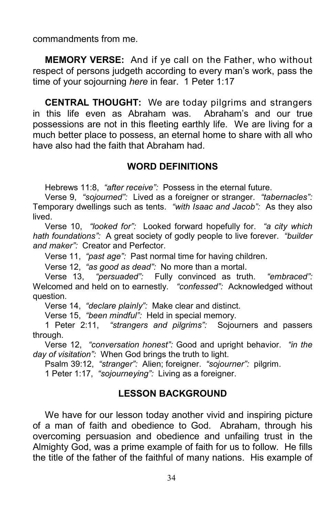commandments from me.

MEMORY VERSE: And if ye call on the Father, who without respect of persons judgeth according to every man's work, pass the time of your sojourning here in fear. 1 Peter 1:17

CENTRAL THOUGHT: We are today pilgrims and strangers in this life even as Abraham was. Abraham's and our true possessions are not in this fleeting earthly life. We are living for a much better place to possess, an eternal home to share with all who have also had the faith that Abraham had.

#### WORD DEFINITIONS

Hebrews 11:8. "after receive": Possess in the eternal future.

Verse 9, "sojourned": Lived as a foreigner or stranger. "tabernacles": Temporary dwellings such as tents. "with Isaac and Jacob": As they also lived.

Verse 10, "looked for": Looked forward hopefully for. "a city which hath foundations": A great society of godly people to live forever. "builder and maker": Creator and Perfector.

Verse 11, "past age": Past normal time for having children.

Verse 12, "as good as dead": No more than a mortal.

Verse 13, "persuaded": Fully convinced as truth. "embraced": Welcomed and held on to earnestly. "confessed": Acknowledged without question.

Verse 14, "declare plainly": Make clear and distinct.

Verse 15, "been mindful": Held in special memory.

1 Peter 2:11, "strangers and pilgrims": Sojourners and passers through.

Verse 12, "conversation honest": Good and upright behavior. "in the day of visitation": When God brings the truth to light.

Psalm 39:12, "stranger": Alien; foreigner. "sojourner": pilgrim.

1 Peter 1:17, "sojourneying": Living as a foreigner.

#### LESSON BACKGROUND

We have for our lesson today another vivid and inspiring picture of a man of faith and obedience to God. Abraham, through his overcoming persuasion and obedience and unfailing trust in the Almighty God, was a prime example of faith for us to follow. He fills the title of the father of the faithful of many nations. His example of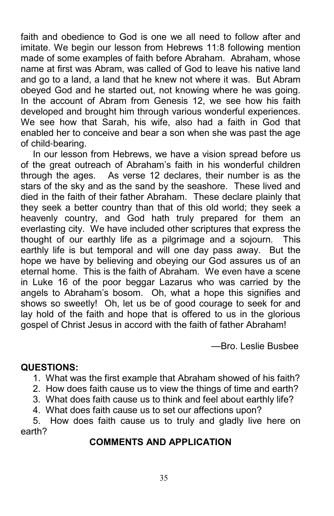faith and obedience to God is one we all need to follow after and imitate. We begin our lesson from Hebrews 11:8 following mention made of some examples of faith before Abraham. Abraham, whose name at first was Abram, was called of God to leave his native land and go to a land, a land that he knew not where it was. But Abram obeyed God and he started out, not knowing where he was going. In the account of Abram from Genesis 12, we see how his faith developed and brought him through various wonderful experiences. We see how that Sarah, his wife, also had a faith in God that enabled her to conceive and bear a son when she was past the age of child-bearing.

In our lesson from Hebrews, we have a vision spread before us of the great outreach of Abraham's faith in his wonderful children through the ages. As verse 12 declares, their number is as the stars of the sky and as the sand by the seashore. These lived and died in the faith of their father Abraham. These declare plainly that they seek a better country than that of this old world; they seek a heavenly country, and God hath truly prepared for them an everlasting city. We have included other scriptures that express the thought of our earthly life as a pilgrimage and a sojourn. This earthly life is but temporal and will one day pass away. But the hope we have by believing and obeying our God assures us of an eternal home. This is the faith of Abraham. We even have a scene in Luke 16 of the poor beggar Lazarus who was carried by the angels to Abraham's bosom. Oh, what a hope this signifies and shows so sweetly! Oh, let us be of good courage to seek for and lay hold of the faith and hope that is offered to us in the glorious gospel of Christ Jesus in accord with the faith of father Abraham! Ī

—Bro. Leslie Busbee

#### QUESTIONS:

1. What was the first example that Abraham showed of his faith?

2. How does faith cause us to view the things of time and earth?

3. What does faith cause us to think and feel about earthly life?

4. What does faith cause us to set our affections upon?

5. How does faith cause us to truly and gladly live here on earth?

## COMMENTS AND APPLICATION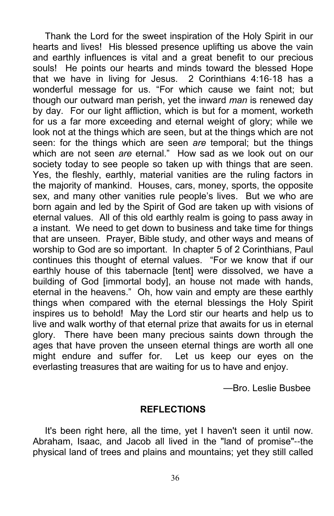Thank the Lord for the sweet inspiration of the Holy Spirit in our hearts and lives! His blessed presence uplifting us above the vain and earthly influences is vital and a great benefit to our precious souls! He points our hearts and minds toward the blessed Hope that we have in living for Jesus. 2 Corinthians 4:16-18 has a wonderful message for us. "For which cause we faint not; but though our outward man perish, yet the inward man is renewed day by day. For our light affliction, which is but for a moment, worketh for us a far more exceeding and eternal weight of glory; while we look not at the things which are seen, but at the things which are not seen: for the things which are seen are temporal; but the things which are not seen are eternal." How sad as we look out on our society today to see people so taken up with things that are seen. Yes, the fleshly, earthly, material vanities are the ruling factors in the majority of mankind. Houses, cars, money, sports, the opposite sex, and many other vanities rule people's lives. But we who are born again and led by the Spirit of God are taken up with visions of eternal values. All of this old earthly realm is going to pass away in a instant. We need to get down to business and take time for things that are unseen. Prayer, Bible study, and other ways and means of worship to God are so important. In chapter 5 of 2 Corinthians, Paul continues this thought of eternal values. "For we know that if our earthly house of this tabernacle [tent] were dissolved, we have a building of God [immortal body], an house not made with hands, eternal in the heavens." Oh, how vain and empty are these earthly things when compared with the eternal blessings the Holy Spirit inspires us to behold! May the Lord stir our hearts and help us to live and walk worthy of that eternal prize that awaits for us in eternal glory. There have been many precious saints down through the ages that have proven the unseen eternal things are worth all one might endure and suffer for. Let us keep our eyes on the everlasting treasures that are waiting for us to have and enjoy.

—Bro. Leslie Busbee

#### REFLECTIONS

It's been right here, all the time, yet I haven't seen it until now. Abraham, Isaac, and Jacob all lived in the "land of promise"--the physical land of trees and plains and mountains; yet they still called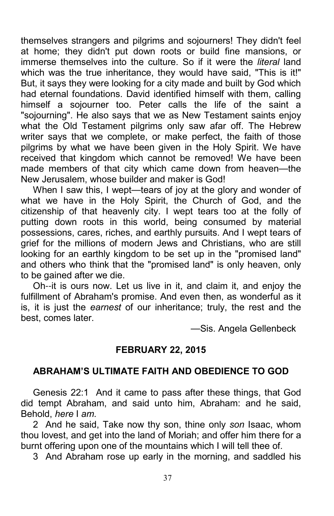themselves strangers and pilgrims and sojourners! They didn't feel at home; they didn't put down roots or build fine mansions, or immerse themselves into the culture. So if it were the *literal* land which was the true inheritance, they would have said, "This is it!" But, it says they were looking for a city made and built by God which had eternal foundations. David identified himself with them, calling himself a sojourner too. Peter calls the life of the saint a "sojourning". He also says that we as New Testament saints enjoy what the Old Testament pilgrims only saw afar off. The Hebrew writer says that we complete, or make perfect, the faith of those pilgrims by what we have been given in the Holy Spirit. We have received that kingdom which cannot be removed! We have been made members of that city which came down from heaven—the New Jerusalem, whose builder and maker is God!

When I saw this, I wept—tears of joy at the glory and wonder of what we have in the Holy Spirit, the Church of God, and the citizenship of that heavenly city. I wept tears too at the folly of putting down roots in this world, being consumed by material possessions, cares, riches, and earthly pursuits. And I wept tears of grief for the millions of modern Jews and Christians, who are still looking for an earthly kingdom to be set up in the "promised land" and others who think that the "promised land" is only heaven, only to be gained after we die.

Oh--it is ours now. Let us live in it, and claim it, and enjoy the fulfillment of Abraham's promise. And even then, as wonderful as it is, it is just the earnest of our inheritance; truly, the rest and the best, comes later.

—Sis. Angela Gellenbeck

#### FEBRUARY 22, 2015

#### ABRAHAM'S ULTIMATE FAITH AND OBEDIENCE TO GOD

Genesis 22:1 And it came to pass after these things, that God did tempt Abraham, and said unto him, Abraham: and he said, Behold, here I am.

2 And he said, Take now thy son, thine only son Isaac, whom thou lovest, and get into the land of Moriah; and offer him there for a burnt offering upon one of the mountains which I will tell thee of.

3 And Abraham rose up early in the morning, and saddled his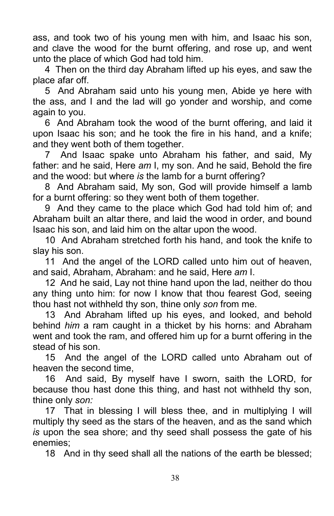ass, and took two of his young men with him, and Isaac his son, and clave the wood for the burnt offering, and rose up, and went unto the place of which God had told him.

4 Then on the third day Abraham lifted up his eyes, and saw the place afar off.

5 And Abraham said unto his young men, Abide ye here with the ass, and I and the lad will go yonder and worship, and come again to you.

6 And Abraham took the wood of the burnt offering, and laid it upon Isaac his son; and he took the fire in his hand, and a knife; and they went both of them together.

7 And Isaac spake unto Abraham his father, and said, My father: and he said, Here am I, my son. And he said, Behold the fire and the wood: but where is the lamb for a burnt offering?

8 And Abraham said, My son, God will provide himself a lamb for a burnt offering: so they went both of them together.

9 And they came to the place which God had told him of; and Abraham built an altar there, and laid the wood in order, and bound Isaac his son, and laid him on the altar upon the wood.

10 And Abraham stretched forth his hand, and took the knife to slay his son.

11 And the angel of the LORD called unto him out of heaven, and said, Abraham, Abraham: and he said, Here am I.

12 And he said, Lay not thine hand upon the lad, neither do thou any thing unto him: for now I know that thou fearest God, seeing thou hast not withheld thy son, thine only son from me.

13 And Abraham lifted up his eyes, and looked, and behold behind him a ram caught in a thicket by his horns: and Abraham went and took the ram, and offered him up for a burnt offering in the stead of his son.

15 And the angel of the LORD called unto Abraham out of heaven the second time,

16 And said, By myself have I sworn, saith the LORD, for because thou hast done this thing, and hast not withheld thy son, thine only son:

17 That in blessing I will bless thee, and in multiplying I will multiply thy seed as the stars of the heaven, and as the sand which is upon the sea shore; and thy seed shall possess the gate of his enemies;

18 And in thy seed shall all the nations of the earth be blessed;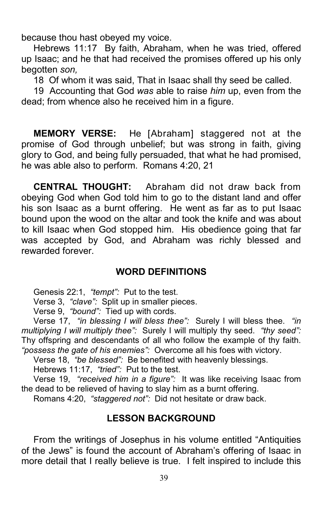because thou hast obeyed my voice.

Hebrews 11:17 By faith, Abraham, when he was tried, offered up Isaac; and he that had received the promises offered up his only begotten son,

18 Of whom it was said, That in Isaac shall thy seed be called.

19 Accounting that God was able to raise him up, even from the dead; from whence also he received him in a figure.

MEMORY VERSE: He [Abraham] staggered not at the promise of God through unbelief; but was strong in faith, giving glory to God, and being fully persuaded, that what he had promised, he was able also to perform. Romans 4:20, 21

CENTRAL THOUGHT: Abraham did not draw back from obeying God when God told him to go to the distant land and offer his son Isaac as a burnt offering. He went as far as to put Isaac bound upon the wood on the altar and took the knife and was about to kill Isaac when God stopped him. His obedience going that far was accepted by God, and Abraham was richly blessed and rewarded forever.

#### WORD DEFINITIONS

Genesis 22:1, "tempt": Put to the test.

Verse 3, "clave": Split up in smaller pieces.

Verse 9, "bound": Tied up with cords.

Verse 17, "in blessing I will bless thee": Surely I will bless thee. "in multiplying I will multiply thee": Surely I will multiply thy seed. "thy seed": Thy offspring and descendants of all who follow the example of thy faith. "possess the gate of his enemies": Overcome all his foes with victory.

Verse 18, "be blessed": Be benefited with heavenly blessings.

Hebrews 11:17, "tried": Put to the test.

Verse 19, "received him in a figure": It was like receiving Isaac from the dead to be relieved of having to slay him as a burnt offering.

Romans 4:20, "staggered not": Did not hesitate or draw back.

#### LESSON BACKGROUND

From the writings of Josephus in his volume entitled "Antiquities of the Jews" is found the account of Abraham's offering of Isaac in more detail that I really believe is true. I felt inspired to include this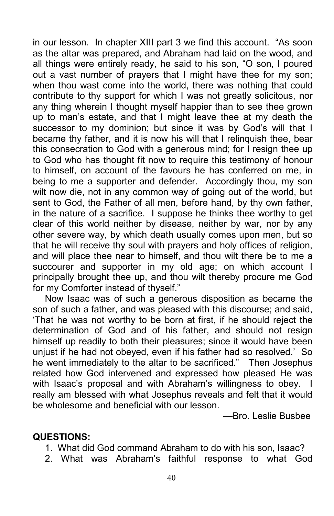in our lesson. In chapter XIII part 3 we find this account. "As soon as the altar was prepared, and Abraham had laid on the wood, and all things were entirely ready, he said to his son, "O son, I poured out a vast number of prayers that I might have thee for my son; when thou wast come into the world, there was nothing that could contribute to thy support for which I was not greatly solicitous, nor any thing wherein I thought myself happier than to see thee grown up to man's estate, and that I might leave thee at my death the successor to my dominion; but since it was by God's will that I became thy father, and it is now his will that I relinquish thee, bear this consecration to God with a generous mind; for I resign thee up to God who has thought fit now to require this testimony of honour to himself, on account of the favours he has conferred on me, in being to me a supporter and defender. Accordingly thou, my son wilt now die, not in any common way of going out of the world, but sent to God, the Father of all men, before hand, by thy own father, in the nature of a sacrifice. I suppose he thinks thee worthy to get clear of this world neither by disease, neither by war, nor by any other severe way, by which death usually comes upon men, but so that he will receive thy soul with prayers and holy offices of religion, and will place thee near to himself, and thou wilt there be to me a succourer and supporter in my old age; on which account I principally brought thee up, and thou wilt thereby procure me God for my Comforter instead of thyself."

Now Isaac was of such a generous disposition as became the son of such a father, and was pleased with this discourse; and said, 'That he was not worthy to be born at first, if he should reject the determination of God and of his father, and should not resign himself up readily to both their pleasures; since it would have been unjust if he had not obeyed, even if his father had so resolved.' So he went immediately to the altar to be sacrificed." Then Josephus related how God intervened and expressed how pleased He was with Isaac's proposal and with Abraham's willingness to obey. I really am blessed with what Josephus reveals and felt that it would be wholesome and beneficial with our lesson.

—Bro. Leslie Busbee

#### QUESTIONS:

1. What did God command Abraham to do with his son, Isaac?

2. What was Abraham's faithful response to what God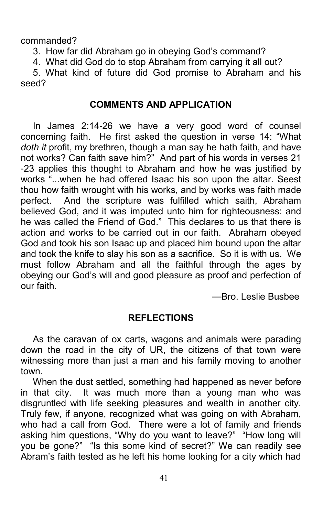commanded?

3. How far did Abraham go in obeying God's command?

4. What did God do to stop Abraham from carrying it all out?

5. What kind of future did God promise to Abraham and his seed?

#### COMMENTS AND APPLICATION

In James 2:14-26 we have a very good word of counsel concerning faith. He first asked the question in verse 14: "What doth it profit, my brethren, though a man say he hath faith, and have not works? Can faith save him?" And part of his words in verses 21 -23 applies this thought to Abraham and how he was justified by works "...when he had offered Isaac his son upon the altar. Seest thou how faith wrought with his works, and by works was faith made perfect. And the scripture was fulfilled which saith, Abraham believed God, and it was imputed unto him for righteousness: and he was called the Friend of God." This declares to us that there is action and works to be carried out in our faith. Abraham obeyed God and took his son Isaac up and placed him bound upon the altar and took the knife to slay his son as a sacrifice. So it is with us. We must follow Abraham and all the faithful through the ages by obeying our God's will and good pleasure as proof and perfection of our faith.

—Bro. Leslie Busbee

#### **REFLECTIONS**

As the caravan of ox carts, wagons and animals were parading down the road in the city of UR, the citizens of that town were witnessing more than just a man and his family moving to another town.

When the dust settled, something had happened as never before in that city. It was much more than a young man who was disgruntled with life seeking pleasures and wealth in another city. Truly few, if anyone, recognized what was going on with Abraham, who had a call from God. There were a lot of family and friends asking him questions, "Why do you want to leave?" "How long will you be gone?" "Is this some kind of secret?" We can readily see Abram's faith tested as he left his home looking for a city which had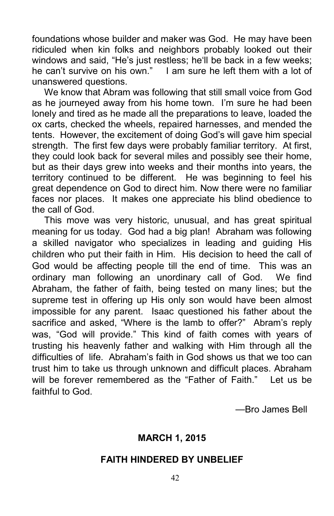foundations whose builder and maker was God. He may have been ridiculed when kin folks and neighbors probably looked out their windows and said. "He's just restless; he'll be back in a few weeks; he can't survive on his own." I am sure he left them with a lot of unanswered questions.

We know that Abram was following that still small voice from God as he journeyed away from his home town. I'm sure he had been lonely and tired as he made all the preparations to leave, loaded the ox carts, checked the wheels, repaired harnesses, and mended the tents. However, the excitement of doing God's will gave him special strength. The first few days were probably familiar territory. At first, they could look back for several miles and possibly see their home, but as their days grew into weeks and their months into years, the territory continued to be different. He was beginning to feel his great dependence on God to direct him. Now there were no familiar faces nor places. It makes one appreciate his blind obedience to the call of God.

This move was very historic, unusual, and has great spiritual meaning for us today. God had a big plan! Abraham was following a skilled navigator who specializes in leading and guiding His children who put their faith in Him. His decision to heed the call of God would be affecting people till the end of time. This was an ordinary man following an unordinary call of God. We find Abraham, the father of faith, being tested on many lines; but the supreme test in offering up His only son would have been almost impossible for any parent. Isaac questioned his father about the sacrifice and asked, "Where is the lamb to offer?" Abram's reply was, "God will provide." This kind of faith comes with years of trusting his heavenly father and walking with Him through all the difficulties of life. Abraham's faith in God shows us that we too can trust him to take us through unknown and difficult places. Abraham will be forever remembered as the "Father of Faith." Let us be faithful to God.

—Bro James Bell

#### MARCH 1, 2015

#### FAITH HINDERED BY UNBELIEF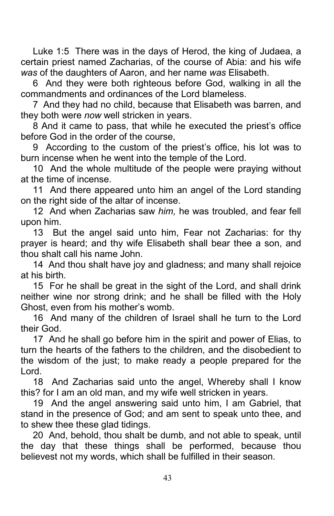Luke 1:5 There was in the days of Herod, the king of Judaea, a certain priest named Zacharias, of the course of Abia: and his wife was of the daughters of Aaron, and her name was Elisabeth.

6 And they were both righteous before God, walking in all the commandments and ordinances of the Lord blameless.

7 And they had no child, because that Elisabeth was barren, and they both were now well stricken in years.

8 And it came to pass, that while he executed the priest's office before God in the order of the course,

9 According to the custom of the priest's office, his lot was to burn incense when he went into the temple of the Lord.

10 And the whole multitude of the people were praying without at the time of incense.

11 And there appeared unto him an angel of the Lord standing on the right side of the altar of incense.

12 And when Zacharias saw him, he was troubled, and fear fell upon him.

13 But the angel said unto him, Fear not Zacharias: for thy prayer is heard; and thy wife Elisabeth shall bear thee a son, and thou shalt call his name John.

14 And thou shalt have joy and gladness; and many shall rejoice at his birth.

15 For he shall be great in the sight of the Lord, and shall drink neither wine nor strong drink; and he shall be filled with the Holy Ghost, even from his mother's womb.

16 And many of the children of Israel shall he turn to the Lord their God.

17 And he shall go before him in the spirit and power of Elias, to turn the hearts of the fathers to the children, and the disobedient to the wisdom of the just; to make ready a people prepared for the Lord.

18 And Zacharias said unto the angel, Whereby shall I know this? for I am an old man, and my wife well stricken in years.

19 And the angel answering said unto him, I am Gabriel, that stand in the presence of God; and am sent to speak unto thee, and to shew thee these glad tidings.

20 And, behold, thou shalt be dumb, and not able to speak, until the day that these things shall be performed, because thou believest not my words, which shall be fulfilled in their season.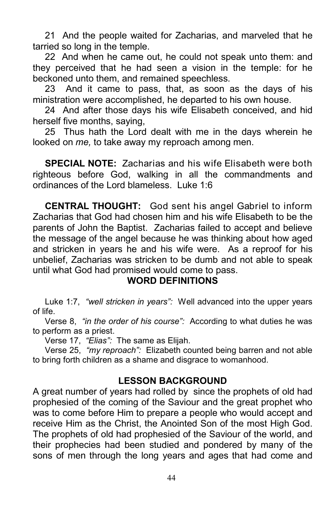21 And the people waited for Zacharias, and marveled that he tarried so long in the temple.

22 And when he came out, he could not speak unto them: and they perceived that he had seen a vision in the temple: for he beckoned unto them, and remained speechless.

23 And it came to pass, that, as soon as the days of his ministration were accomplished, he departed to his own house.

24 And after those days his wife Elisabeth conceived, and hid herself five months, saying,

25 Thus hath the Lord dealt with me in the days wherein he looked on me, to take away my reproach among men.

SPECIAL NOTE: Zacharias and his wife Elisabeth were both righteous before God, walking in all the commandments and ordinances of the Lord blameless. Luke 1:6

CENTRAL THOUGHT: God sent his angel Gabriel to inform Zacharias that God had chosen him and his wife Elisabeth to be the parents of John the Baptist. Zacharias failed to accept and believe the message of the angel because he was thinking about how aged and stricken in years he and his wife were. As a reproof for his unbelief, Zacharias was stricken to be dumb and not able to speak until what God had promised would come to pass.

#### WORD DEFINITIONS

Luke 1:7, "well stricken in years": Well advanced into the upper years of life.

Verse 8, "in the order of his course": According to what duties he was to perform as a priest.

Verse 17, "Elias": The same as Elijah.

Verse 25, "my reproach": Elizabeth counted being barren and not able to bring forth children as a shame and disgrace to womanhood.

#### LESSON BACKGROUND

A great number of years had rolled by since the prophets of old had prophesied of the coming of the Saviour and the great prophet who was to come before Him to prepare a people who would accept and receive Him as the Christ, the Anointed Son of the most High God. The prophets of old had prophesied of the Saviour of the world, and their prophecies had been studied and pondered by many of the sons of men through the long years and ages that had come and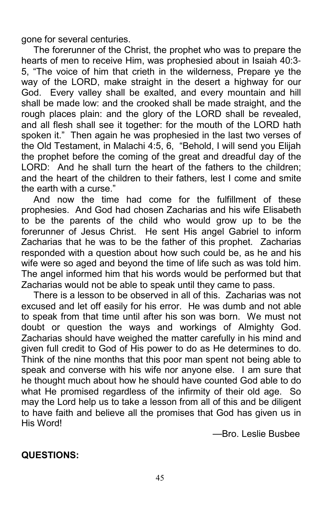gone for several centuries.

The forerunner of the Christ, the prophet who was to prepare the hearts of men to receive Him, was prophesied about in Isaiah 40:3- 5, "The voice of him that crieth in the wilderness, Prepare ye the way of the LORD, make straight in the desert a highway for our God. Every valley shall be exalted, and every mountain and hill shall be made low: and the crooked shall be made straight, and the rough places plain: and the glory of the LORD shall be revealed, and all flesh shall see it together: for the mouth of the LORD hath spoken it." Then again he was prophesied in the last two verses of the Old Testament, in Malachi 4:5, 6, "Behold, I will send you Elijah the prophet before the coming of the great and dreadful day of the LORD: And he shall turn the heart of the fathers to the children; and the heart of the children to their fathers, lest I come and smite the earth with a curse."

And now the time had come for the fulfillment of these prophesies. And God had chosen Zacharias and his wife Elisabeth to be the parents of the child who would grow up to be the forerunner of Jesus Christ. He sent His angel Gabriel to inform Zacharias that he was to be the father of this prophet. Zacharias responded with a question about how such could be, as he and his wife were so aged and beyond the time of life such as was told him. The angel informed him that his words would be performed but that Zacharias would not be able to speak until they came to pass.

There is a lesson to be observed in all of this. Zacharias was not excused and let off easily for his error. He was dumb and not able to speak from that time until after his son was born. We must not doubt or question the ways and workings of Almighty God. Zacharias should have weighed the matter carefully in his mind and given full credit to God of His power to do as He determines to do. Think of the nine months that this poor man spent not being able to speak and converse with his wife nor anyone else. I am sure that he thought much about how he should have counted God able to do what He promised regardless of the infirmity of their old age. So may the Lord help us to take a lesson from all of this and be diligent to have faith and believe all the promises that God has given us in His Word!

—Bro. Leslie Busbee

#### QUESTIONS: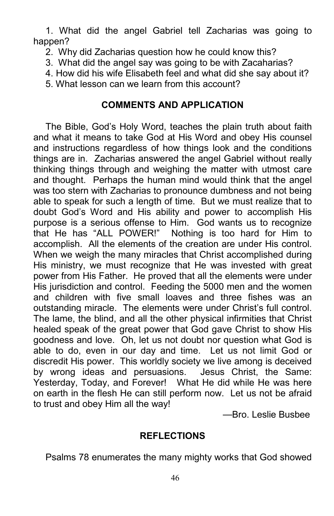1. What did the angel Gabriel tell Zacharias was going to happen?

- 2. Why did Zacharias question how he could know this?
- 3. What did the angel say was going to be with Zacaharias?
- 4. How did his wife Elisabeth feel and what did she say about it?

5. What lesson can we learn from this account?

### COMMENTS AND APPLICATION

The Bible, God's Holy Word, teaches the plain truth about faith and what it means to take God at His Word and obey His counsel and instructions regardless of how things look and the conditions things are in. Zacharias answered the angel Gabriel without really thinking things through and weighing the matter with utmost care and thought. Perhaps the human mind would think that the angel was too stern with Zacharias to pronounce dumbness and not being able to speak for such a length of time. But we must realize that to doubt God's Word and His ability and power to accomplish His purpose is a serious offense to Him. God wants us to recognize that He has "ALL POWER!" Nothing is too hard for Him to accomplish. All the elements of the creation are under His control. When we weigh the many miracles that Christ accomplished during His ministry, we must recognize that He was invested with great power from His Father. He proved that all the elements were under His jurisdiction and control. Feeding the 5000 men and the women and children with five small loaves and three fishes was an outstanding miracle. The elements were under Christ's full control. The lame, the blind, and all the other physical infirmities that Christ healed speak of the great power that God gave Christ to show His goodness and love. Oh, let us not doubt nor question what God is able to do, even in our day and time. Let us not limit God or discredit His power. This worldly society we live among is deceived by wrong ideas and persuasions. Jesus Christ, the Same: Yesterday, Today, and Forever! What He did while He was here on earth in the flesh He can still perform now. Let us not be afraid to trust and obey Him all the way!

—Bro. Leslie Busbee

#### **REFLECTIONS**

Psalms 78 enumerates the many mighty works that God showed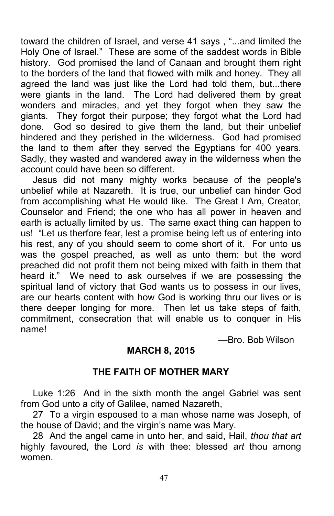toward the children of Israel, and verse 41 says , "...and limited the Holy One of Israel." These are some of the saddest words in Bible history. God promised the land of Canaan and brought them right to the borders of the land that flowed with milk and honey. They all agreed the land was just like the Lord had told them, but...there were giants in the land. The Lord had delivered them by great wonders and miracles, and yet they forgot when they saw the giants. They forgot their purpose; they forgot what the Lord had done. God so desired to give them the land, but their unbelief hindered and they perished in the wilderness. God had promised the land to them after they served the Egyptians for 400 years. Sadly, they wasted and wandered away in the wilderness when the account could have been so different.

Jesus did not many mighty works because of the people's unbelief while at Nazareth. It is true, our unbelief can hinder God from accomplishing what He would like. The Great I Am, Creator, Counselor and Friend; the one who has all power in heaven and earth is actually limited by us. The same exact thing can happen to us! "Let us therfore fear, lest a promise being left us of entering into his rest, any of you should seem to come short of it. For unto us was the gospel preached, as well as unto them: but the word preached did not profit them not being mixed with faith in them that heard it." We need to ask ourselves if we are possessing the spiritual land of victory that God wants us to possess in our lives, are our hearts content with how God is working thru our lives or is there deeper longing for more. Then let us take steps of faith, commitment, consecration that will enable us to conquer in His name!

—Bro. Bob Wilson

#### MARCH 8, 2015

#### THE FAITH OF MOTHER MARY

Luke 1:26 And in the sixth month the angel Gabriel was sent from God unto a city of Galilee, named Nazareth,

27 To a virgin espoused to a man whose name was Joseph, of the house of David; and the virgin's name was Mary.

28 And the angel came in unto her, and said. Hail, thou that art highly favoured, the Lord is with thee: blessed art thou among women.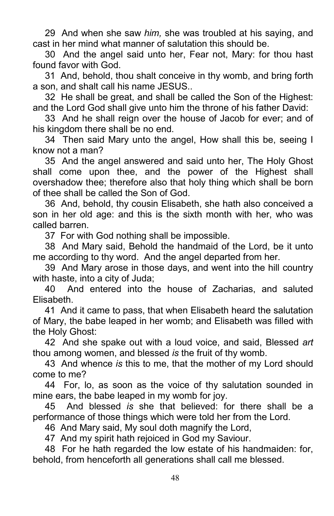29 And when she saw him, she was troubled at his saying, and cast in her mind what manner of salutation this should be.

30 And the angel said unto her, Fear not, Mary: for thou hast found favor with God.

31 And, behold, thou shalt conceive in thy womb, and bring forth a son, and shalt call his name JESUS..

32 He shall be great, and shall be called the Son of the Highest: and the Lord God shall give unto him the throne of his father David:

33 And he shall reign over the house of Jacob for ever; and of his kingdom there shall be no end.

34 Then said Mary unto the angel, How shall this be, seeing I know not a man?

35 And the angel answered and said unto her, The Holy Ghost shall come upon thee, and the power of the Highest shall overshadow thee; therefore also that holy thing which shall be born of thee shall be called the Son of God.

36 And, behold, thy cousin Elisabeth, she hath also conceived a son in her old age: and this is the sixth month with her, who was called barren.

37 For with God nothing shall be impossible.

38 And Mary said, Behold the handmaid of the Lord, be it unto me according to thy word. And the angel departed from her.

39 And Mary arose in those days, and went into the hill country with haste, into a city of Juda;

40 And entered into the house of Zacharias, and saluted Elisabeth.

41 And it came to pass, that when Elisabeth heard the salutation of Mary, the babe leaped in her womb; and Elisabeth was filled with the Holy Ghost:

42 And she spake out with a loud voice, and said, Blessed art thou among women, and blessed is the fruit of thy womb.

43 And whence is this to me, that the mother of my Lord should come to me?

44 For, lo, as soon as the voice of thy salutation sounded in mine ears, the babe leaped in my womb for joy.

45 And blessed is she that believed: for there shall be a performance of those things which were told her from the Lord.

46 And Mary said, My soul doth magnify the Lord,

47 And my spirit hath rejoiced in God my Saviour.

48 For he hath regarded the low estate of his handmaiden: for, behold, from henceforth all generations shall call me blessed.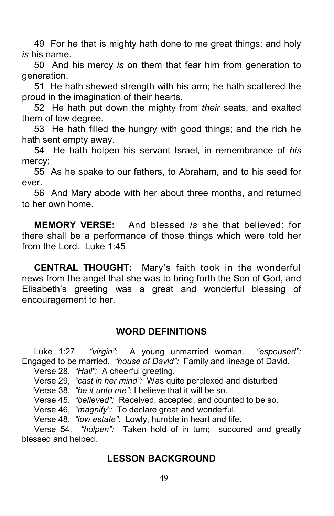49 For he that is mighty hath done to me great things; and holy is his name.

50 And his mercy is on them that fear him from generation to generation.

51 He hath shewed strength with his arm; he hath scattered the proud in the imagination of their hearts.

52 He hath put down the mighty from their seats, and exalted them of low degree.

53 He hath filled the hungry with good things; and the rich he hath sent empty away.

54 He hath holpen his servant Israel, in remembrance of his mercy;

55 As he spake to our fathers, to Abraham, and to his seed for ever.

56 And Mary abode with her about three months, and returned to her own home.

MEMORY VERSE: And blessed is she that believed: for there shall be a performance of those things which were told her from the Lord. Luke 1:45

CENTRAL THOUGHT: Mary's faith took in the wonderful news from the angel that she was to bring forth the Son of God, and Elisabeth's greeting was a great and wonderful blessing of encouragement to her.

#### WORD DEFINITIONS

Luke 1:27, "virgin": A young unmarried woman. "espoused": Engaged to be married. "house of David": Family and lineage of David.

Verse 28, "Hail": A cheerful greeting.

Verse 29, "cast in her mind": Was quite perplexed and disturbed

Verse 38, "be it unto me": I believe that it will be so.

Verse 45, "believed": Received, accepted, and counted to be so.

Verse 46, "magnify": To declare great and wonderful.

Verse 48, "low estate": Lowly, humble in heart and life.

Verse 54, "holpen": Taken hold of in turn: succored and greatly blessed and helped.

## LESSON BACKGROUND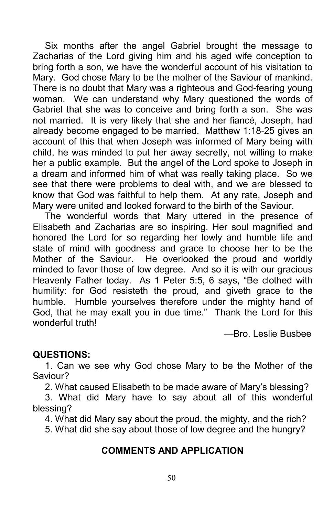Six months after the angel Gabriel brought the message to Zacharias of the Lord giving him and his aged wife conception to bring forth a son, we have the wonderful account of his visitation to Mary. God chose Mary to be the mother of the Saviour of mankind. There is no doubt that Mary was a righteous and God-fearing young woman. We can understand why Mary questioned the words of Gabriel that she was to conceive and bring forth a son. She was not married. It is very likely that she and her fiancé, Joseph, had already become engaged to be married. Matthew 1:18-25 gives an account of this that when Joseph was informed of Mary being with child, he was minded to put her away secretly, not willing to make her a public example. But the angel of the Lord spoke to Joseph in a dream and informed him of what was really taking place. So we see that there were problems to deal with, and we are blessed to know that God was faithful to help them. At any rate, Joseph and Mary were united and looked forward to the birth of the Saviour.

The wonderful words that Mary uttered in the presence of Elisabeth and Zacharias are so inspiring. Her soul magnified and honored the Lord for so regarding her lowly and humble life and state of mind with goodness and grace to choose her to be the Mother of the Saviour. He overlooked the proud and worldly minded to favor those of low degree. And so it is with our gracious Heavenly Father today. As 1 Peter 5:5, 6 says, "Be clothed with humility: for God resisteth the proud, and giveth grace to the humble. Humble yourselves therefore under the mighty hand of God, that he may exalt you in due time." Thank the Lord for this wonderful truth!

—Bro. Leslie Busbee

#### QUESTIONS:

1. Can we see why God chose Mary to be the Mother of the Saviour?

2. What caused Elisabeth to be made aware of Mary's blessing?

3. What did Mary have to say about all of this wonderful blessing?

4. What did Mary say about the proud, the mighty, and the rich?

5. What did she say about those of low degree and the hungry?

#### COMMENTS AND APPLICATION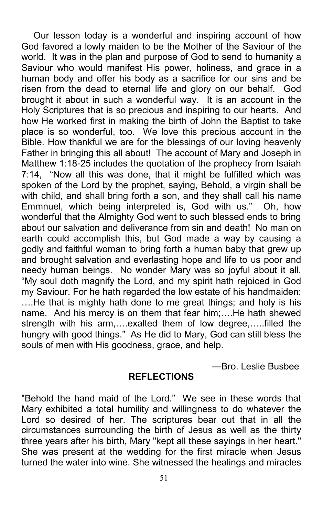Our lesson today is a wonderful and inspiring account of how God favored a lowly maiden to be the Mother of the Saviour of the world. It was in the plan and purpose of God to send to humanity a Saviour who would manifest His power, holiness, and grace in a human body and offer his body as a sacrifice for our sins and be risen from the dead to eternal life and glory on our behalf. God brought it about in such a wonderful way. It is an account in the Holy Scriptures that is so precious and inspiring to our hearts. And how He worked first in making the birth of John the Baptist to take place is so wonderful, too. We love this precious account in the Bible. How thankful we are for the blessings of our loving heavenly Father in bringing this all about! The account of Mary and Joseph in Matthew 1:18-25 includes the quotation of the prophecy from Isaiah 7:14, "Now all this was done, that it might be fulfilled which was spoken of the Lord by the prophet, saying, Behold, a virgin shall be with child, and shall bring forth a son, and they shall call his name Emmnuel, which being interpreted is, God with us." Oh, how wonderful that the Almighty God went to such blessed ends to bring about our salvation and deliverance from sin and death! No man on earth could accomplish this, but God made a way by causing a godly and faithful woman to bring forth a human baby that grew up and brought salvation and everlasting hope and life to us poor and needy human beings. No wonder Mary was so joyful about it all. "My soul doth magnify the Lord, and my spirit hath rejoiced in God my Saviour. For he hath regarded the low estate of his handmaiden:  $\ldots$  He that is mighty hath done to me great things; and holy is his name. And his mercy is on them that fear him;....He hath shewed strength with his arm,....exalted them of low degree,.....filled the hungry with good things." As He did to Mary, God can still bless the souls of men with His goodness, grace, and help.

—Bro. Leslie Busbee

#### **REFLECTIONS**

"Behold the hand maid of the Lord." We see in these words that Mary exhibited a total humility and willingness to do whatever the Lord so desired of her. The scriptures bear out that in all the circumstances surrounding the birth of Jesus as well as the thirty three years after his birth, Mary "kept all these sayings in her heart." She was present at the wedding for the first miracle when Jesus turned the water into wine. She witnessed the healings and miracles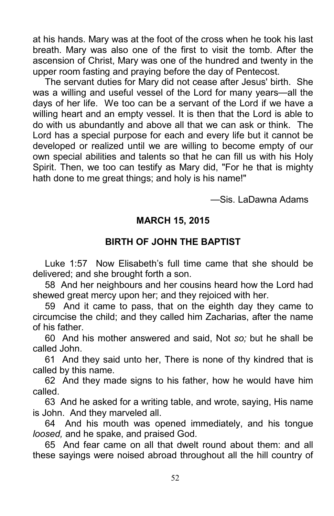at his hands. Mary was at the foot of the cross when he took his last breath. Mary was also one of the first to visit the tomb. After the ascension of Christ, Mary was one of the hundred and twenty in the upper room fasting and praying before the day of Pentecost.

The servant duties for Mary did not cease after Jesus' birth. She was a willing and useful vessel of the Lord for many years—all the days of her life. We too can be a servant of the Lord if we have a willing heart and an empty vessel. It is then that the Lord is able to do with us abundantly and above all that we can ask or think. The Lord has a special purpose for each and every life but it cannot be developed or realized until we are willing to become empty of our own special abilities and talents so that he can fill us with his Holy Spirit. Then, we too can testify as Mary did, "For he that is mighty hath done to me great things; and holy is his name!"

—Sis. LaDawna Adams

#### MARCH 15, 2015

#### BIRTH OF JOHN THE BAPTIST

Luke 1:57 Now Elisabeth's full time came that she should be delivered; and she brought forth a son.

58 And her neighbours and her cousins heard how the Lord had shewed great mercy upon her; and they rejoiced with her.

59 And it came to pass, that on the eighth day they came to circumcise the child; and they called him Zacharias, after the name of his father.

60 And his mother answered and said, Not so; but he shall be called John.

61 And they said unto her, There is none of thy kindred that is called by this name.

62 And they made signs to his father, how he would have him called.

63 And he asked for a writing table, and wrote, saying, His name is John. And they marveled all.

64 And his mouth was opened immediately, and his tongue loosed, and he spake, and praised God.

65 And fear came on all that dwelt round about them: and all these sayings were noised abroad throughout all the hill country of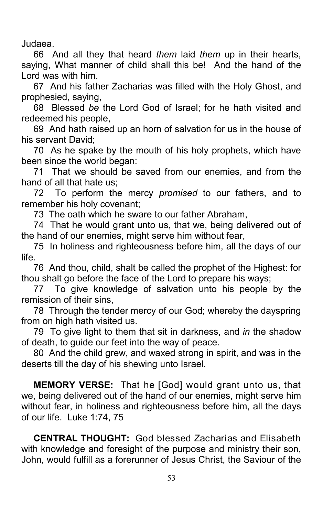Judaea.

66 And all they that heard them laid them up in their hearts, saying, What manner of child shall this be! And the hand of the Lord was with him.

67 And his father Zacharias was filled with the Holy Ghost, and prophesied, saying,

68 Blessed be the Lord God of Israel; for he hath visited and redeemed his people,

69 And hath raised up an horn of salvation for us in the house of his servant David;

70 As he spake by the mouth of his holy prophets, which have been since the world began:

71 That we should be saved from our enemies, and from the hand of all that hate us;

72 To perform the mercy *promised* to our fathers, and to remember his holy covenant;

73 The oath which he sware to our father Abraham,

74 That he would grant unto us, that we, being delivered out of the hand of our enemies, might serve him without fear,

75 In holiness and righteousness before him, all the days of our life.

76 And thou, child, shalt be called the prophet of the Highest: for thou shalt go before the face of the Lord to prepare his ways;

77 To give knowledge of salvation unto his people by the remission of their sins,

78 Through the tender mercy of our God; whereby the dayspring from on high hath visited us.

79 To give light to them that sit in darkness, and in the shadow of death, to guide our feet into the way of peace.

80 And the child grew, and waxed strong in spirit, and was in the deserts till the day of his shewing unto Israel.

MEMORY VERSE: That he [God] would grant unto us, that we, being delivered out of the hand of our enemies, might serve him without fear, in holiness and righteousness before him, all the days of our life. Luke 1:74, 75

CENTRAL THOUGHT: God blessed Zacharias and Elisabeth with knowledge and foresight of the purpose and ministry their son, John, would fulfill as a forerunner of Jesus Christ, the Saviour of the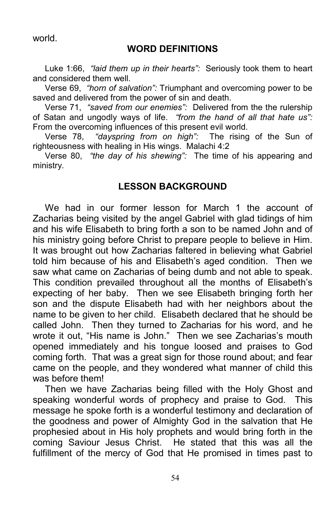world.

#### WORD DEFINITIONS

Luke 1:66, "laid them up in their hearts": Seriously took them to heart and considered them well.

Verse 69, "horn of salvation": Triumphant and overcoming power to be saved and delivered from the power of sin and death.

Verse 71, "saved from our enemies": Delivered from the the rulership of Satan and ungodly ways of life. "from the hand of all that hate us": From the overcoming influences of this present evil world.

Verse 78, "dayspring from on high": The rising of the Sun of righteousness with healing in His wings. Malachi 4:2

Verse 80, "the day of his shewing": The time of his appearing and ministry.

#### LESSON BACKGROUND

We had in our former lesson for March 1 the account of Zacharias being visited by the angel Gabriel with glad tidings of him and his wife Elisabeth to bring forth a son to be named John and of his ministry going before Christ to prepare people to believe in Him. It was brought out how Zacharias faltered in believing what Gabriel told him because of his and Elisabeth's aged condition. Then we saw what came on Zacharias of being dumb and not able to speak. This condition prevailed throughout all the months of Elisabeth's expecting of her baby. Then we see Elisabeth bringing forth her son and the dispute Elisabeth had with her neighbors about the name to be given to her child. Elisabeth declared that he should be called John. Then they turned to Zacharias for his word, and he wrote it out, "His name is John." Then we see Zacharias's mouth opened immediately and his tongue loosed and praises to God coming forth. That was a great sign for those round about; and fear came on the people, and they wondered what manner of child this was before them!

Then we have Zacharias being filled with the Holy Ghost and speaking wonderful words of prophecy and praise to God. This message he spoke forth is a wonderful testimony and declaration of the goodness and power of Almighty God in the salvation that He prophesied about in His holy prophets and would bring forth in the coming Saviour Jesus Christ. He stated that this was all the fulfillment of the mercy of God that He promised in times past to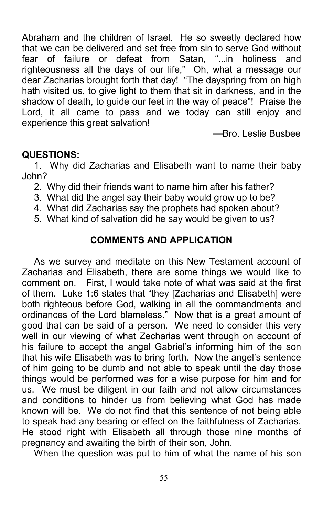Abraham and the children of Israel. He so sweetly declared how that we can be delivered and set free from sin to serve God without fear of failure or defeat from Satan, "...in holiness and righteousness all the days of our life," Oh, what a message our dear Zacharias brought forth that day! "The dayspring from on high hath visited us, to give light to them that sit in darkness, and in the shadow of death, to guide our feet in the way of peace"! Praise the Lord, it all came to pass and we today can still enjoy and experience this great salvation!

—Bro. Leslie Busbee

#### QUESTIONS:

1. Why did Zacharias and Elisabeth want to name their baby John?

- 2. Why did their friends want to name him after his father?
- 3. What did the angel say their baby would grow up to be?
- 4. What did Zacharias say the prophets had spoken about?
- 5. What kind of salvation did he say would be given to us?

#### COMMENTS AND APPLICATION

As we survey and meditate on this New Testament account of Zacharias and Elisabeth, there are some things we would like to comment on. First, I would take note of what was said at the first of them. Luke 1:6 states that "they [Zacharias and Elisabeth] were both righteous before God, walking in all the commandments and ordinances of the Lord blameless." Now that is a great amount of good that can be said of a person. We need to consider this very well in our viewing of what Zecharias went through on account of his failure to accept the angel Gabriel's informing him of the son that his wife Elisabeth was to bring forth. Now the angel's sentence of him going to be dumb and not able to speak until the day those things would be performed was for a wise purpose for him and for us. We must be diligent in our faith and not allow circumstances and conditions to hinder us from believing what God has made known will be. We do not find that this sentence of not being able to speak had any bearing or effect on the faithfulness of Zacharias. He stood right with Elisabeth all through those nine months of pregnancy and awaiting the birth of their son, John.

When the question was put to him of what the name of his son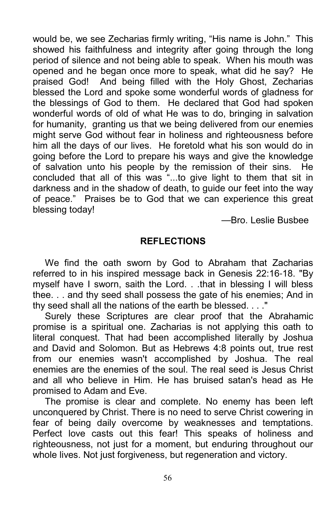would be, we see Zecharias firmly writing, "His name is John." This showed his faithfulness and integrity after going through the long period of silence and not being able to speak. When his mouth was opened and he began once more to speak, what did he say? He praised God! And being filled with the Holy Ghost, Zecharias blessed the Lord and spoke some wonderful words of gladness for the blessings of God to them. He declared that God had spoken wonderful words of old of what He was to do, bringing in salvation for humanity, granting us that we being delivered from our enemies might serve God without fear in holiness and righteousness before him all the days of our lives. He foretold what his son would do in going before the Lord to prepare his ways and give the knowledge of salvation unto his people by the remission of their sins. He concluded that all of this was "...to give light to them that sit in darkness and in the shadow of death, to guide our feet into the way of peace." Praises be to God that we can experience this great blessing today!

—Bro. Leslie Busbee

#### REFLECTIONS

We find the oath sworn by God to Abraham that Zacharias referred to in his inspired message back in Genesis 22:16-18. "By myself have I sworn, saith the Lord. . .that in blessing I will bless thee. . . and thy seed shall possess the gate of his enemies; And in thy seed shall all the nations of the earth be blessed. . . ."

Surely these Scriptures are clear proof that the Abrahamic promise is a spiritual one. Zacharias is not applying this oath to literal conquest. That had been accomplished literally by Joshua and David and Solomon. But as Hebrews 4:8 points out, true rest from our enemies wasn't accomplished by Joshua. The real enemies are the enemies of the soul. The real seed is Jesus Christ and all who believe in Him. He has bruised satan's head as He promised to Adam and Eve.

The promise is clear and complete. No enemy has been left unconquered by Christ. There is no need to serve Christ cowering in fear of being daily overcome by weaknesses and temptations. Perfect love casts out this fear! This speaks of holiness and righteousness, not just for a moment, but enduring throughout our whole lives. Not just forgiveness, but regeneration and victory.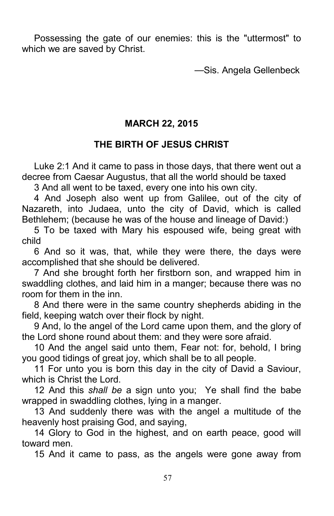Possessing the gate of our enemies: this is the "uttermost" to which we are saved by Christ.

—Sis. Angela Gellenbeck

## MARCH 22, 2015

## THE BIRTH OF JESUS CHRIST

Luke 2:1 And it came to pass in those days, that there went out a decree from Caesar Augustus, that all the world should be taxed

3 And all went to be taxed, every one into his own city.

4 And Joseph also went up from Galilee, out of the city of Nazareth, into Judaea, unto the city of David, which is called Bethlehem; (because he was of the house and lineage of David:)

5 To be taxed with Mary his espoused wife, being great with child

6 And so it was, that, while they were there, the days were accomplished that she should be delivered.

7 And she brought forth her firstborn son, and wrapped him in swaddling clothes, and laid him in a manger; because there was no room for them in the inn.

8 And there were in the same country shepherds abiding in the field, keeping watch over their flock by night.

9 And, lo the angel of the Lord came upon them, and the glory of the Lord shone round about them: and they were sore afraid.

10 And the angel said unto them, Fear not: for, behold, I bring you good tidings of great joy, which shall be to all people.

11 For unto you is born this day in the city of David a Saviour, which is Christ the Lord.

12 And this shall be a sign unto you; Ye shall find the babe wrapped in swaddling clothes, lying in a manger.

13 And suddenly there was with the angel a multitude of the heavenly host praising God, and saying,

14 Glory to God in the highest, and on earth peace, good will toward men.

15 And it came to pass, as the angels were gone away from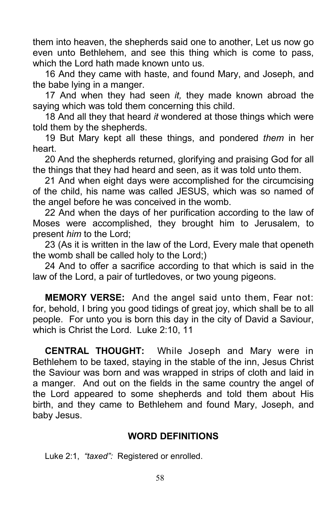them into heaven, the shepherds said one to another, Let us now go even unto Bethlehem, and see this thing which is come to pass, which the Lord hath made known unto us.

16 And they came with haste, and found Mary, and Joseph, and the babe lying in a manger.

17 And when they had seen  $it$ , they made known abroad the saying which was told them concerning this child.

18 And all they that heard it wondered at those things which were told them by the shepherds.

19 But Mary kept all these things, and pondered them in her heart.

20 And the shepherds returned, glorifying and praising God for all the things that they had heard and seen, as it was told unto them.

21 And when eight days were accomplished for the circumcising of the child, his name was called JESUS, which was so named of the angel before he was conceived in the womb.

22 And when the days of her purification according to the law of Moses were accomplished, they brought him to Jerusalem, to present *him* to the Lord;

23 (As it is written in the law of the Lord, Every male that openeth the womb shall be called holy to the Lord;)

24 And to offer a sacrifice according to that which is said in the law of the Lord, a pair of turtledoves, or two young pigeons.

MEMORY VERSE: And the angel said unto them, Fear not: for, behold, I bring you good tidings of great joy, which shall be to all people. For unto you is born this day in the city of David a Saviour, which is Christ the Lord. Luke 2:10, 11

CENTRAL THOUGHT: While Joseph and Mary were in Bethlehem to be taxed, staying in the stable of the inn, Jesus Christ the Saviour was born and was wrapped in strips of cloth and laid in a manger. And out on the fields in the same country the angel of the Lord appeared to some shepherds and told them about His birth, and they came to Bethlehem and found Mary, Joseph, and baby Jesus.

#### WORD DEFINITIONS

Luke 2:1, "taxed": Registered or enrolled.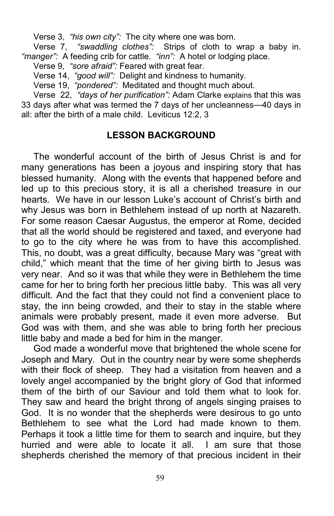Verse 3, "his own city": The city where one was born.

Verse 7, "swaddling clothes": Strips of cloth to wrap a baby in. "manger": A feeding crib for cattle. "inn": A hotel or lodging place.

Verse 9, "sore afraid": Feared with great fear.

Verse 14, "good will": Delight and kindness to humanity.

Verse 19, "pondered": Meditated and thought much about.

Verse 22, "days of her purification": Adam Clarke explains that this was 33 days after what was termed the 7 days of her uncleanness—40 days in all: after the birth of a male child. Leviticus 12:2, 3

#### LESSON BACKGROUND

The wonderful account of the birth of Jesus Christ is and for many generations has been a joyous and inspiring story that has blessed humanity. Along with the events that happened before and led up to this precious story, it is all a cherished treasure in our hearts. We have in our lesson Luke's account of Christ's birth and why Jesus was born in Bethlehem instead of up north at Nazareth. For some reason Caesar Augustus, the emperor at Rome, decided that all the world should be registered and taxed, and everyone had to go to the city where he was from to have this accomplished. This, no doubt, was a great difficulty, because Mary was "great with child," which meant that the time of her giving birth to Jesus was very near. And so it was that while they were in Bethlehem the time came for her to bring forth her precious little baby. This was all very difficult. And the fact that they could not find a convenient place to stay, the inn being crowded, and their to stay in the stable where animals were probably present, made it even more adverse. But God was with them, and she was able to bring forth her precious little baby and made a bed for him in the manger.

God made a wonderful move that brightened the whole scene for Joseph and Mary. Out in the country near by were some shepherds with their flock of sheep. They had a visitation from heaven and a lovely angel accompanied by the bright glory of God that informed them of the birth of our Saviour and told them what to look for. They saw and heard the bright throng of angels singing praises to God. It is no wonder that the shepherds were desirous to go unto Bethlehem to see what the Lord had made known to them. Perhaps it took a little time for them to search and inquire, but they hurried and were able to locate it all. I am sure that those shepherds cherished the memory of that precious incident in their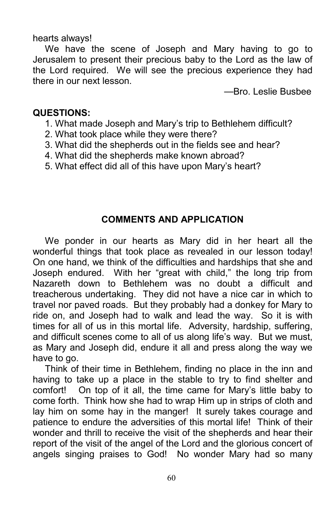hearts always!

We have the scene of Joseph and Mary having to go to Jerusalem to present their precious baby to the Lord as the law of the Lord required. We will see the precious experience they had there in our next lesson.

—Bro. Leslie Busbee

#### QUESTIONS:

- 1. What made Joseph and Mary's trip to Bethlehem difficult?
- 2. What took place while they were there?
- 3. What did the shepherds out in the fields see and hear?
- 4. What did the shepherds make known abroad?
- 5. What effect did all of this have upon Mary's heart?

#### COMMENTS AND APPLICATION

We ponder in our hearts as Mary did in her heart all the wonderful things that took place as revealed in our lesson today! On one hand, we think of the difficulties and hardships that she and Joseph endured. With her "great with child," the long trip from Nazareth down to Bethlehem was no doubt a difficult and treacherous undertaking. They did not have a nice car in which to travel nor paved roads. But they probably had a donkey for Mary to ride on, and Joseph had to walk and lead the way. So it is with times for all of us in this mortal life. Adversity, hardship, suffering, and difficult scenes come to all of us along life's way. But we must, as Mary and Joseph did, endure it all and press along the way we have to go.

Think of their time in Bethlehem, finding no place in the inn and having to take up a place in the stable to try to find shelter and comfort! On top of it all, the time came for Mary's little baby to come forth. Think how she had to wrap Him up in strips of cloth and lay him on some hay in the manger! It surely takes courage and patience to endure the adversities of this mortal life! Think of their wonder and thrill to receive the visit of the shepherds and hear their report of the visit of the angel of the Lord and the glorious concert of angels singing praises to God! No wonder Mary had so many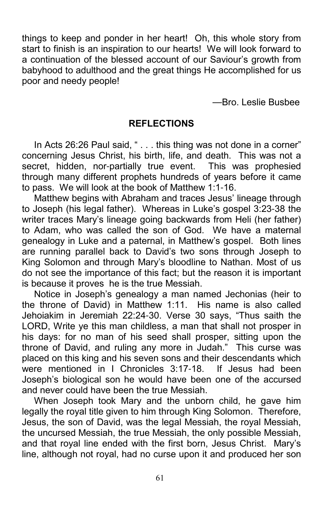things to keep and ponder in her heart! Oh, this whole story from start to finish is an inspiration to our hearts! We will look forward to a continuation of the blessed account of our Saviour's growth from babyhood to adulthood and the great things He accomplished for us poor and needy people! Ī

—Bro. Leslie Busbee

#### REFLECTIONS

In Acts 26:26 Paul said, " . . . this thing was not done in a corner" concerning Jesus Christ, his birth, life, and death. This was not a secret, hidden, nor-partially true event. This was prophesied through many different prophets hundreds of years before it came to pass. We will look at the book of Matthew 1:1-16.

Matthew begins with Abraham and traces Jesus' lineage through to Joseph (his legal father). Whereas in Luke's gospel 3:23-38 the writer traces Mary's lineage going backwards from Heli (her father) to Adam, who was called the son of God. We have a maternal genealogy in Luke and a paternal, in Matthew's gospel. Both lines are running parallel back to David's two sons through Joseph to King Solomon and through Mary's bloodline to Nathan. Most of us do not see the importance of this fact; but the reason it is important is because it proves he is the true Messiah.

Notice in Joseph's genealogy a man named Jechonias (heir to the throne of David) in Matthew 1:11. His name is also called Jehoiakim in Jeremiah 22:24-30. Verse 30 says, "Thus saith the LORD, Write ye this man childless, a man that shall not prosper in his days: for no man of his seed shall prosper, sitting upon the throne of David, and ruling any more in Judah." This curse was placed on this king and his seven sons and their descendants which<br>were mentioned in I Chronicles 3:17-18. If Jesus had been were mentioned in I Chronicles 3:17-18. Joseph's biological son he would have been one of the accursed and never could have been the true Messiah.

When Joseph took Mary and the unborn child, he gave him legally the royal title given to him through King Solomon. Therefore, Jesus, the son of David, was the legal Messiah, the royal Messiah, the uncursed Messiah, the true Messiah, the only possible Messiah, and that royal line ended with the first born, Jesus Christ. Mary's line, although not royal, had no curse upon it and produced her son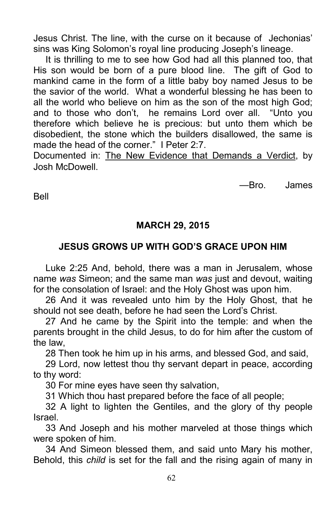Jesus Christ. The line, with the curse on it because of Jechonias' sins was King Solomon's royal line producing Joseph's lineage.

It is thrilling to me to see how God had all this planned too, that His son would be born of a pure blood line. The gift of God to mankind came in the form of a little baby boy named Jesus to be the savior of the world. What a wonderful blessing he has been to all the world who believe on him as the son of the most high God; and to those who don't, he remains Lord over all. "Unto you therefore which believe he is precious: but unto them which be disobedient, the stone which the builders disallowed, the same is made the head of the corner." I Peter 2:7.

Documented in: The New Evidence that Demands a Verdict, by Josh McDowell.

enter a contracto de la contractoria de la contractoria de la contractoria de la contractoria de la contractori

Bell

## MARCH 29, 2015

## JESUS GROWS UP WITH GOD'S GRACE UPON HIM

Luke 2:25 And, behold, there was a man in Jerusalem, whose name was Simeon; and the same man was just and devout, waiting for the consolation of Israel: and the Holy Ghost was upon him.

26 And it was revealed unto him by the Holy Ghost, that he should not see death, before he had seen the Lord's Christ.

27 And he came by the Spirit into the temple: and when the parents brought in the child Jesus, to do for him after the custom of the law,

28 Then took he him up in his arms, and blessed God, and said,

29 Lord, now lettest thou thy servant depart in peace, according to thy word:

30 For mine eyes have seen thy salvation,

31 Which thou hast prepared before the face of all people;

32 A light to lighten the Gentiles, and the glory of thy people Israel.

33 And Joseph and his mother marveled at those things which were spoken of him.

34 And Simeon blessed them, and said unto Mary his mother, Behold, this child is set for the fall and the rising again of many in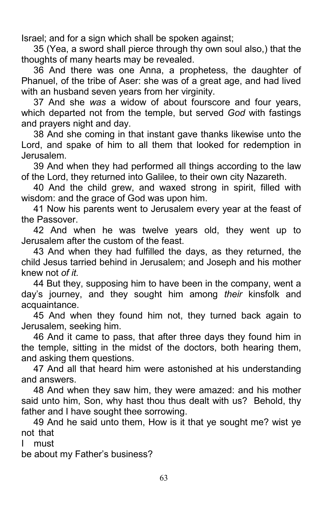Israel; and for a sign which shall be spoken against;

35 (Yea, a sword shall pierce through thy own soul also,) that the thoughts of many hearts may be revealed.

36 And there was one Anna, a prophetess, the daughter of Phanuel, of the tribe of Aser: she was of a great age, and had lived with an husband seven years from her virginity.

37 And she was a widow of about fourscore and four years, which departed not from the temple, but served God with fastings and prayers night and day.

38 And she coming in that instant gave thanks likewise unto the Lord, and spake of him to all them that looked for redemption in Jerusalem.

39 And when they had performed all things according to the law of the Lord, they returned into Galilee, to their own city Nazareth.

40 And the child grew, and waxed strong in spirit, filled with wisdom: and the grace of God was upon him.

41 Now his parents went to Jerusalem every year at the feast of the Passover.

42 And when he was twelve years old, they went up to Jerusalem after the custom of the feast.

43 And when they had fulfilled the days, as they returned, the child Jesus tarried behind in Jerusalem; and Joseph and his mother knew not of it.

44 But they, supposing him to have been in the company, went a day's journey, and they sought him among their kinsfolk and acquaintance.

45 And when they found him not, they turned back again to Jerusalem, seeking him.

46 And it came to pass, that after three days they found him in the temple, sitting in the midst of the doctors, both hearing them, and asking them questions.

47 And all that heard him were astonished at his understanding and answers.

48 And when they saw him, they were amazed: and his mother said unto him, Son, why hast thou thus dealt with us? Behold, thy father and I have sought thee sorrowing.

49 And he said unto them, How is it that ye sought me? wist ye not that

must

be about my Father's business?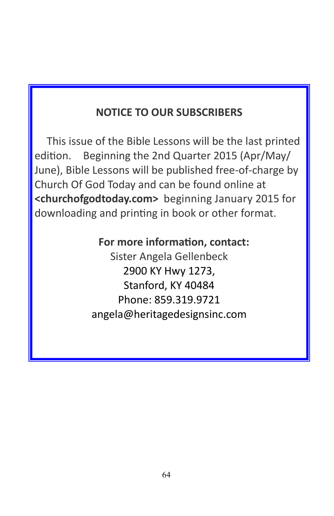# NOTICE TO OUR SUBSCRIBERS

 This issue of the Bible Lessons will be the last printed edition. Beginning the 2nd Quarter 2015 (Apr/May/ June), Bible Lessons will be published free-of-charge by Church Of God Today and can be found online at <churchofgodtoday.com> beginning January 2015 for downloading and printing in book or other format.

## For more information, contact:

Sister Angela Gellenbeck 2900 KY Hwy 1273, Stanford, KY 40484 Phone: 859.319.9721 angela@heritagedesignsinc.com